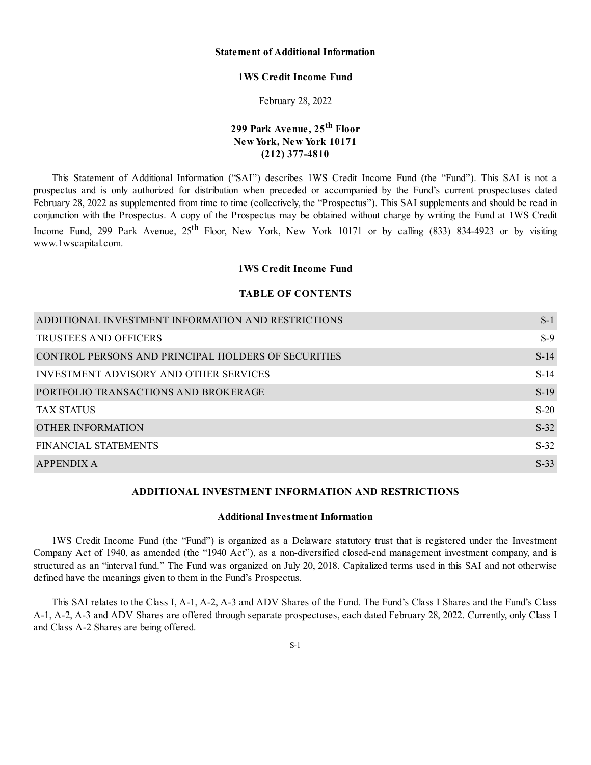# **Statement of Additional Information**

#### **1WS Credit Income Fund**

February 28, 2022

# **299 Park Avenue, 25 th Floor New York, New York 10171 (212) 377-4810**

This Statement of Additional Information ("SAI") describes 1WS Credit Income Fund (the "Fund"). This SAI is not a prospectus and is only authorized for distribution when preceded or accompanied by the Fund's current prospectuses dated February 28, 2022 as supplemented from time to time (collectively, the "Prospectus"). This SAI supplements and should be read in conjunction with the Prospectus. A copy of the Prospectus may be obtained without charge by writing the Fund at 1WS Credit Income Fund, 299 Park Avenue, 25<sup>th</sup> Floor, New York, New York 10171 or by calling (833) 834-4923 or by visiting www.1wscapital.com.

#### **1WS Credit Income Fund**

#### **TABLE OF CONTENTS**

| ADDITIONAL INVESTMENT INFORMATION AND RESTRICTIONS  | $S-1$  |
|-----------------------------------------------------|--------|
| TRUSTEES AND OFFICERS                               | $S-9$  |
| CONTROL PERSONS AND PRINCIPAL HOLDERS OF SECURITIES | $S-14$ |
| INVESTMENT ADVISORY AND OTHER SERVICES              | $S-14$ |
| PORTFOLIO TRANSACTIONS AND BROKERAGE                | $S-19$ |
| <b>TAX STATUS</b>                                   | $S-20$ |
| OTHER INFORMATION                                   | $S-32$ |
| <b>FINANCIAL STATEMENTS</b>                         | $S-32$ |
| APPENDIX A                                          | $S-33$ |

# **ADDITIONAL INVESTMENT INFORMATION AND RESTRICTIONS**

# **Additional Investment Information**

1WS Credit Income Fund (the "Fund") is organized as a Delaware statutory trust that is registered under the Investment Company Act of 1940, as amended (the "1940 Act"), as a non-diversified closed-end management investment company, and is structured as an "interval fund." The Fund was organized on July 20, 2018. Capitalized terms used in this SAI and not otherwise defined have the meanings given to them in the Fund's Prospectus.

This SAI relates to the Class I, A-1, A-2, A-3 and ADV Shares of the Fund. The Fund's Class I Shares and the Fund's Class A-1, A-2, A-3 and ADV Shares are offered through separate prospectuses, each dated February 28, 2022. Currently, only Class I and Class A-2 Shares are being offered.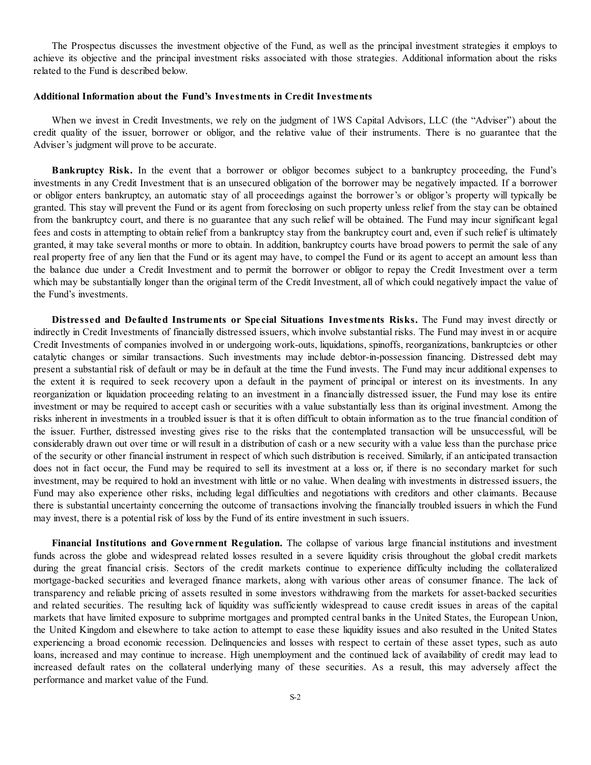The Prospectus discusses the investment objective of the Fund, as well as the principal investment strategies it employs to achieve its objective and the principal investment risks associated with those strategies. Additional information about the risks related to the Fund is described below.

#### **Additional Information about the Fund's Investments in Credit Investments**

When we invest in Credit Investments, we rely on the judgment of 1WS Capital Advisors, LLC (the "Adviser") about the credit quality of the issuer, borrower or obligor, and the relative value of their instruments. There is no guarantee that the Adviser's judgment will prove to be accurate.

**Bankruptcy Risk.** In the event that a borrower or obligor becomes subject to a bankruptcy proceeding, the Fund's investments in any Credit Investment that is an unsecured obligation of the borrower may be negatively impacted. If a borrower or obligor enters bankruptcy, an automatic stay of all proceedings against the borrower's or obligor's property will typically be granted. This stay will prevent the Fund or its agent from foreclosing on such property unless relief from the stay can be obtained from the bankruptcy court, and there is no guarantee that any such relief will be obtained. The Fund may incur significant legal fees and costs in attempting to obtain relief from a bankruptcy stay from the bankruptcy court and, even if such relief is ultimately granted, it may take several months or more to obtain. In addition, bankruptcy courts have broad powers to permit the sale of any real property free of any lien that the Fund or its agent may have, to compel the Fund or its agent to accept an amount less than the balance due under a Credit Investment and to permit the borrower or obligor to repay the Credit Investment over a term which may be substantially longer than the original term of the Credit Investment, all of which could negatively impact the value of the Fund's investments.

**Distressed and Defaulted Instruments or Special Situations Investments Risks.** The Fund may invest directly or indirectly in Credit Investments of financially distressed issuers, which involve substantial risks. The Fund may invest in or acquire Credit Investments of companies involved in or undergoing work-outs, liquidations, spinoffs, reorganizations, bankruptcies or other catalytic changes or similar transactions. Such investments may include debtor-in-possession financing. Distressed debt may present a substantial risk of default or may be in default at the time the Fund invests. The Fund may incur additional expenses to the extent it is required to seek recovery upon a default in the payment of principal or interest on its investments. In any reorganization or liquidation proceeding relating to an investment in a financially distressed issuer, the Fund may lose its entire investment or may be required to accept cash or securities with a value substantially less than its original investment. Among the risks inherent in investments in a troubled issuer is that it is often difficult to obtain information as to the true financial condition of the issuer. Further, distressed investing gives rise to the risks that the contemplated transaction will be unsuccessful, will be considerably drawn out over time or will result in a distribution of cash or a new security with a value less than the purchase price of the security or other financial instrument in respect of which such distribution is received. Similarly, if an anticipated transaction does not in fact occur, the Fund may be required to sell its investment at a loss or, if there is no secondary market for such investment, may be required to hold an investment with little or no value. When dealing with investments in distressed issuers, the Fund may also experience other risks, including legal difficulties and negotiations with creditors and other claimants. Because there is substantial uncertainty concerning the outcome of transactions involving the financially troubled issuers in which the Fund may invest, there is a potential risk of loss by the Fund of its entire investment in such issuers.

**Financial Institutions and Government Regulation.** The collapse of various large financial institutions and investment funds across the globe and widespread related losses resulted in a severe liquidity crisis throughout the global credit markets during the great financial crisis. Sectors of the credit markets continue to experience difficulty including the collateralized mortgage-backed securities and leveraged finance markets, along with various other areas of consumer finance. The lack of transparency and reliable pricing of assets resulted in some investors withdrawing from the markets for asset-backed securities and related securities. The resulting lack of liquidity was sufficiently widespread to cause credit issues in areas of the capital markets that have limited exposure to subprime mortgages and prompted central banks in the United States, the European Union, the United Kingdom and elsewhere to take action to attempt to ease these liquidity issues and also resulted in the United States experiencing a broad economic recession. Delinquencies and losses with respect to certain of these asset types, such as auto loans, increased and may continue to increase. High unemployment and the continued lack of availability of credit may lead to increased default rates on the collateral underlying many of these securities. As a result, this may adversely affect the performance and market value of the Fund.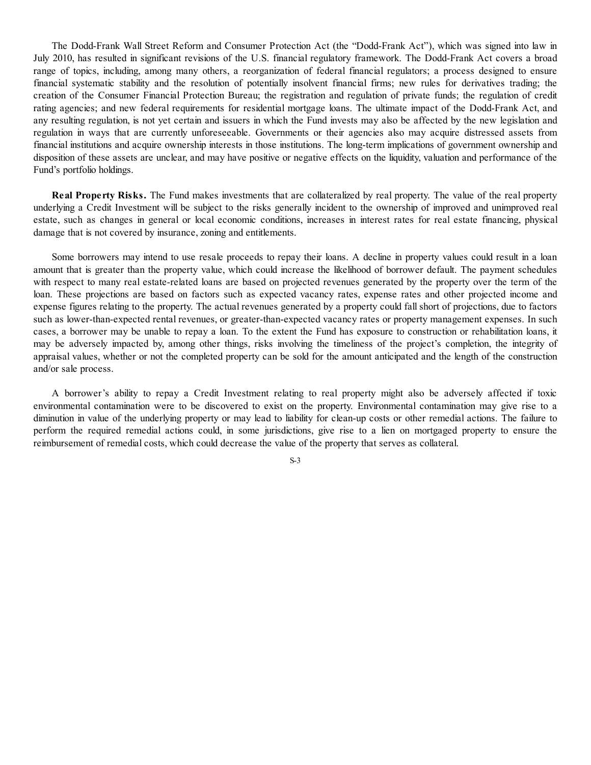The Dodd-Frank Wall Street Reform and Consumer Protection Act (the "Dodd-Frank Act"), which was signed into law in July 2010, has resulted in significant revisions of the U.S. financial regulatory framework. The Dodd-Frank Act covers a broad range of topics, including, among many others, a reorganization of federal financial regulators; a process designed to ensure financial systematic stability and the resolution of potentially insolvent financial firms; new rules for derivatives trading; the creation of the Consumer Financial Protection Bureau; the registration and regulation of private funds; the regulation of credit rating agencies; and new federal requirements for residential mortgage loans. The ultimate impact of the Dodd-Frank Act, and any resulting regulation, is not yet certain and issuers in which the Fund invests may also be affected by the new legislation and regulation in ways that are currently unforeseeable. Governments or their agencies also may acquire distressed assets from financial institutions and acquire ownership interests in those institutions. The long-term implications of government ownership and disposition of these assets are unclear, and may have positive or negative effects on the liquidity, valuation and performance of the Fund's portfolio holdings.

**Real Property Risks.** The Fund makes investments that are collateralized by real property. The value of the real property underlying a Credit Investment will be subject to the risks generally incident to the ownership of improved and unimproved real estate, such as changes in general or local economic conditions, increases in interest rates for real estate financing, physical damage that is not covered by insurance, zoning and entitlements.

Some borrowers may intend to use resale proceeds to repay their loans. A decline in property values could result in a loan amount that is greater than the property value, which could increase the likelihood of borrower default. The payment schedules with respect to many real estate-related loans are based on projected revenues generated by the property over the term of the loan. These projections are based on factors such as expected vacancy rates, expense rates and other projected income and expense figures relating to the property. The actual revenues generated by a property could fall short of projections, due to factors such as lower-than-expected rental revenues, or greater-than-expected vacancy rates or property management expenses. In such cases, a borrower may be unable to repay a loan. To the extent the Fund has exposure to construction or rehabilitation loans, it may be adversely impacted by, among other things, risks involving the timeliness of the project's completion, the integrity of appraisal values, whether or not the completed property can be sold for the amount anticipated and the length of the construction and/or sale process.

A borrower's ability to repay a Credit Investment relating to real property might also be adversely affected if toxic environmental contamination were to be discovered to exist on the property. Environmental contamination may give rise to a diminution in value of the underlying property or may lead to liability for clean-up costs or other remedial actions. The failure to perform the required remedial actions could, in some jurisdictions, give rise to a lien on mortgaged property to ensure the reimbursement of remedial costs, which could decrease the value of the property that serves as collateral.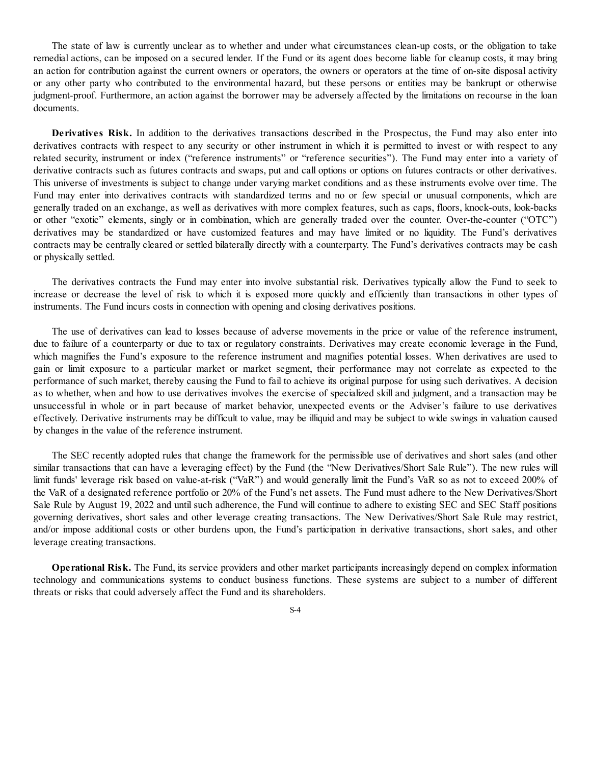The state of law is currently unclear as to whether and under what circumstances clean-up costs, or the obligation to take remedial actions, can be imposed on a secured lender. If the Fund or its agent does become liable for cleanup costs, it may bring an action for contribution against the current owners or operators, the owners or operators at the time of on-site disposal activity or any other party who contributed to the environmental hazard, but these persons or entities may be bankrupt or otherwise judgment-proof. Furthermore, an action against the borrower may be adversely affected by the limitations on recourse in the loan documents.

**Derivatives Risk.** In addition to the derivatives transactions described in the Prospectus, the Fund may also enter into derivatives contracts with respect to any security or other instrument in which it is permitted to invest or with respect to any related security, instrument or index ("reference instruments" or "reference securities"). The Fund may enter into a variety of derivative contracts such as futures contracts and swaps, put and call options or options on futures contracts or other derivatives. This universe of investments is subject to change under varying market conditions and as these instruments evolve over time. The Fund may enter into derivatives contracts with standardized terms and no or few special or unusual components, which are generally traded on an exchange, as well as derivatives with more complex features, such as caps, floors, knock-outs, look-backs or other "exotic" elements, singly or in combination, which are generally traded over the counter. Over-the-counter ("OTC") derivatives may be standardized or have customized features and may have limited or no liquidity. The Fund's derivatives contracts may be centrally cleared or settled bilaterally directly with a counterparty. The Fund's derivatives contracts may be cash or physically settled.

The derivatives contracts the Fund may enter into involve substantial risk. Derivatives typically allow the Fund to seek to increase or decrease the level of risk to which it is exposed more quickly and efficiently than transactions in other types of instruments. The Fund incurs costs in connection with opening and closing derivatives positions.

The use of derivatives can lead to losses because of adverse movements in the price or value of the reference instrument, due to failure of a counterparty or due to tax or regulatory constraints. Derivatives may create economic leverage in the Fund, which magnifies the Fund's exposure to the reference instrument and magnifies potential losses. When derivatives are used to gain or limit exposure to a particular market or market segment, their performance may not correlate as expected to the performance of such market, thereby causing the Fund to fail to achieve its original purpose for using such derivatives. A decision as to whether, when and how to use derivatives involves the exercise of specialized skill and judgment, and a transaction may be unsuccessful in whole or in part because of market behavior, unexpected events or the Adviser's failure to use derivatives effectively. Derivative instruments may be difficult to value, may be illiquid and may be subject to wide swings in valuation caused by changes in the value of the reference instrument.

The SEC recently adopted rules that change the framework for the permissible use of derivatives and short sales (and other similar transactions that can have a leveraging effect) by the Fund (the "New Derivatives/Short Sale Rule"). The new rules will limit funds' leverage risk based on value-at-risk ("VaR") and would generally limit the Fund's VaR so as not to exceed 200% of the VaR of a designated reference portfolio or 20% of the Fund's net assets. The Fund must adhere to the New Derivatives/Short Sale Rule by August 19, 2022 and until such adherence, the Fund will continue to adhere to existing SEC and SEC Staff positions governing derivatives, short sales and other leverage creating transactions. The New Derivatives/Short Sale Rule may restrict, and/or impose additional costs or other burdens upon, the Fund's participation in derivative transactions, short sales, and other leverage creating transactions.

**Operational Risk.** The Fund, its service providers and other market participants increasingly depend on complex information technology and communications systems to conduct business functions. These systems are subject to a number of different threats or risks that could adversely affect the Fund and its shareholders.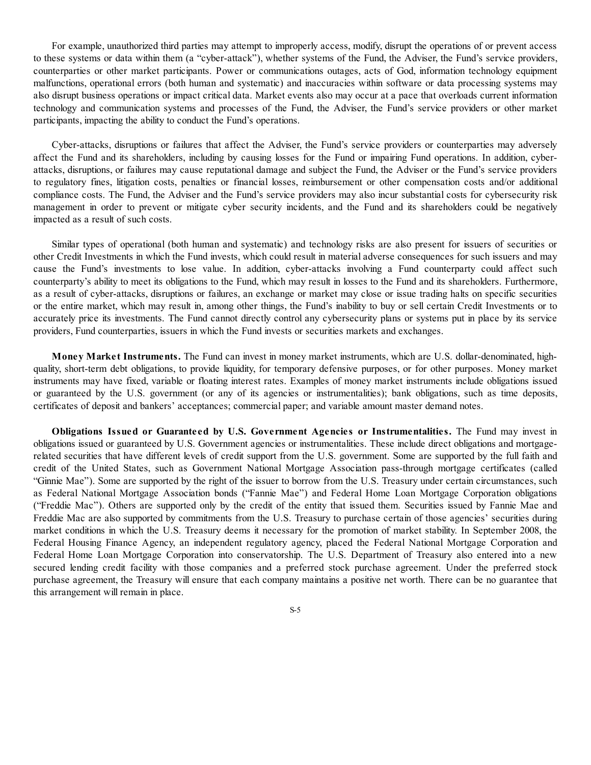For example, unauthorized third parties may attempt to improperly access, modify, disrupt the operations of or prevent access to these systems or data within them (a "cyber-attack"), whether systems of the Fund, the Adviser, the Fund's service providers, counterparties or other market participants. Power or communications outages, acts of God, information technology equipment malfunctions, operational errors (both human and systematic) and inaccuracies within software or data processing systems may also disrupt business operations or impact critical data. Market events also may occur at a pace that overloads current information technology and communication systems and processes of the Fund, the Adviser, the Fund's service providers or other market participants, impacting the ability to conduct the Fund's operations.

Cyber-attacks, disruptions or failures that affect the Adviser, the Fund's service providers or counterparties may adversely affect the Fund and its shareholders, including by causing losses for the Fund or impairing Fund operations. In addition, cyberattacks, disruptions, or failures may cause reputational damage and subject the Fund, the Adviser or the Fund's service providers to regulatory fines, litigation costs, penalties or financial losses, reimbursement or other compensation costs and/or additional compliance costs. The Fund, the Adviser and the Fund's service providers may also incur substantial costs for cybersecurity risk management in order to prevent or mitigate cyber security incidents, and the Fund and its shareholders could be negatively impacted as a result of such costs.

Similar types of operational (both human and systematic) and technology risks are also present for issuers of securities or other Credit Investments in which the Fund invests, which could result in material adverse consequences for such issuers and may cause the Fund's investments to lose value. In addition, cyber-attacks involving a Fund counterparty could affect such counterparty's ability to meet its obligations to the Fund, which may result in losses to the Fund and its shareholders. Furthermore, as a result of cyber-attacks, disruptions or failures, an exchange or market may close or issue trading halts on specific securities or the entire market, which may result in, among other things, the Fund's inability to buy or sell certain Credit Investments or to accurately price its investments. The Fund cannot directly control any cybersecurity plans or systems put in place by its service providers, Fund counterparties, issuers in which the Fund invests or securities markets and exchanges.

**Money Market Instruments.** The Fund can invest in money market instruments, which are U.S. dollar-denominated, highquality, short-term debt obligations, to provide liquidity, for temporary defensive purposes, or for other purposes. Money market instruments may have fixed, variable or floating interest rates. Examples of money market instruments include obligations issued or guaranteed by the U.S. government (or any of its agencies or instrumentalities); bank obligations, such as time deposits, certificates of deposit and bankers' acceptances; commercial paper; and variable amount master demand notes.

**Obligations Issued or Guaranteed by U.S. Government Agencies or Instrumentalities.** The Fund may invest in obligations issued or guaranteed by U.S. Government agencies or instrumentalities. These include direct obligations and mortgagerelated securities that have different levels of credit support from the U.S. government. Some are supported by the full faith and credit of the United States, such as Government National Mortgage Association pass-through mortgage certificates (called "Ginnie Mae"). Some are supported by the right of the issuer to borrow from the U.S. Treasury under certain circumstances, such as Federal National Mortgage Association bonds ("Fannie Mae") and Federal Home Loan Mortgage Corporation obligations ("Freddie Mac"). Others are supported only by the credit of the entity that issued them. Securities issued by Fannie Mae and Freddie Mac are also supported by commitments from the U.S. Treasury to purchase certain of those agencies' securities during market conditions in which the U.S. Treasury deems it necessary for the promotion of market stability. In September 2008, the Federal Housing Finance Agency, an independent regulatory agency, placed the Federal National Mortgage Corporation and Federal Home Loan Mortgage Corporation into conservatorship. The U.S. Department of Treasury also entered into a new secured lending credit facility with those companies and a preferred stock purchase agreement. Under the preferred stock purchase agreement, the Treasury will ensure that each company maintains a positive net worth. There can be no guarantee that this arrangement will remain in place.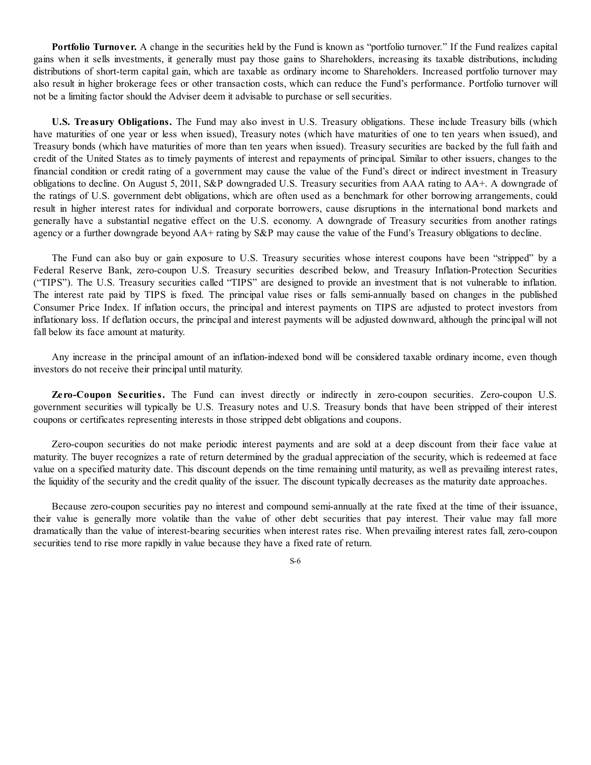**Portfolio Turnover.** A change in the securities held by the Fund is known as "portfolio turnover." If the Fund realizes capital gains when it sells investments, it generally must pay those gains to Shareholders, increasing its taxable distributions, including distributions of short-term capital gain, which are taxable as ordinary income to Shareholders. Increased portfolio turnover may also result in higher brokerage fees or other transaction costs, which can reduce the Fund's performance. Portfolio turnover will not be a limiting factor should the Adviser deem it advisable to purchase or sell securities.

**U.S. Treasury Obligations.** The Fund may also invest in U.S. Treasury obligations. These include Treasury bills (which have maturities of one year or less when issued), Treasury notes (which have maturities of one to ten years when issued), and Treasury bonds (which have maturities of more than ten years when issued). Treasury securities are backed by the full faith and credit of the United States as to timely payments of interest and repayments of principal. Similar to other issuers, changes to the financial condition or credit rating of a government may cause the value of the Fund's direct or indirect investment in Treasury obligations to decline. On August 5, 2011, S&P downgraded U.S. Treasury securities from AAA rating to AA+. A downgrade of the ratings of U.S. government debt obligations, which are often used as a benchmark for other borrowing arrangements, could result in higher interest rates for individual and corporate borrowers, cause disruptions in the international bond markets and generally have a substantial negative effect on the U.S. economy. A downgrade of Treasury securities from another ratings agency or a further downgrade beyond AA+ rating by S&P may cause the value of the Fund's Treasury obligations to decline.

The Fund can also buy or gain exposure to U.S. Treasury securities whose interest coupons have been "stripped" by a Federal Reserve Bank, zero-coupon U.S. Treasury securities described below, and Treasury Inflation-Protection Securities ("TIPS"). The U.S. Treasury securities called "TIPS" are designed to provide an investment that is not vulnerable to inflation. The interest rate paid by TIPS is fixed. The principal value rises or falls semi-annually based on changes in the published Consumer Price Index. If inflation occurs, the principal and interest payments on TIPS are adjusted to protect investors from inflationary loss. If deflation occurs, the principal and interest payments will be adjusted downward, although the principal will not fall below its face amount at maturity.

Any increase in the principal amount of an inflation-indexed bond will be considered taxable ordinary income, even though investors do not receive their principal until maturity.

**Zero-Coupon Securities.** The Fund can invest directly or indirectly in zero-coupon securities. Zero-coupon U.S. government securities will typically be U.S. Treasury notes and U.S. Treasury bonds that have been stripped of their interest coupons or certificates representing interests in those stripped debt obligations and coupons.

Zero-coupon securities do not make periodic interest payments and are sold at a deep discount from their face value at maturity. The buyer recognizes a rate of return determined by the gradual appreciation of the security, which is redeemed at face value on a specified maturity date. This discount depends on the time remaining until maturity, as well as prevailing interest rates, the liquidity of the security and the credit quality of the issuer. The discount typically decreases as the maturity date approaches.

Because zero-coupon securities pay no interest and compound semi-annually at the rate fixed at the time of their issuance, their value is generally more volatile than the value of other debt securities that pay interest. Their value may fall more dramatically than the value of interest-bearing securities when interest rates rise. When prevailing interest rates fall, zero-coupon securities tend to rise more rapidly in value because they have a fixed rate of return.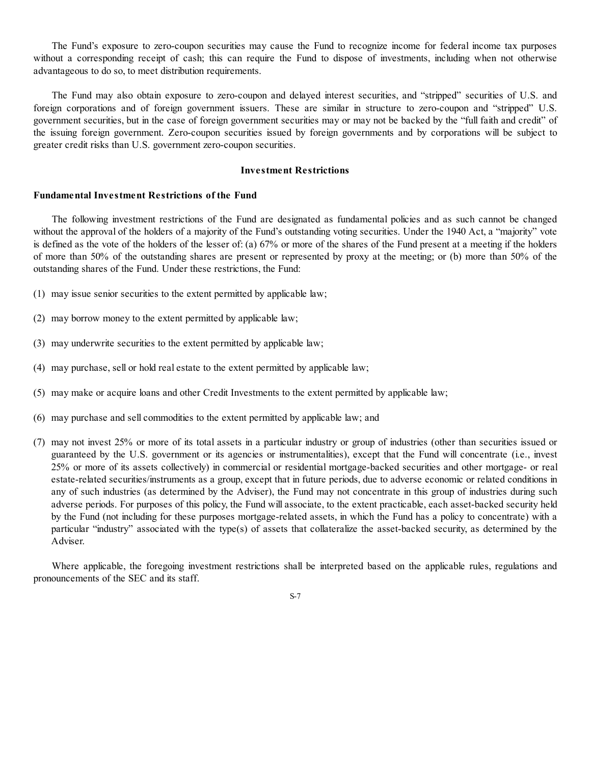The Fund's exposure to zero-coupon securities may cause the Fund to recognize income for federal income tax purposes without a corresponding receipt of cash; this can require the Fund to dispose of investments, including when not otherwise advantageous to do so, to meet distribution requirements.

The Fund may also obtain exposure to zero-coupon and delayed interest securities, and "stripped" securities of U.S. and foreign corporations and of foreign government issuers. These are similar in structure to zero-coupon and "stripped" U.S. government securities, but in the case of foreign government securities may or may not be backed by the "full faith and credit" of the issuing foreign government. Zero-coupon securities issued by foreign governments and by corporations will be subject to greater credit risks than U.S. government zero-coupon securities.

#### **Investment Restrictions**

#### **Fundamental Investment Restrictions of the Fund**

The following investment restrictions of the Fund are designated as fundamental policies and as such cannot be changed without the approval of the holders of a majority of the Fund's outstanding voting securities. Under the 1940 Act, a "majority" vote is defined as the vote of the holders of the lesser of: (a) 67% or more of the shares of the Fund present at a meeting if the holders of more than 50% of the outstanding shares are present or represented by proxy at the meeting; or (b) more than 50% of the outstanding shares of the Fund. Under these restrictions, the Fund:

- (1) may issue senior securities to the extent permitted by applicable law;
- (2) may borrow money to the extent permitted by applicable law;
- (3) may underwrite securities to the extent permitted by applicable law;
- (4) may purchase, sell or hold real estate to the extent permitted by applicable law;
- (5) may make or acquire loans and other Credit Investments to the extent permitted by applicable law;
- (6) may purchase and sell commodities to the extent permitted by applicable law; and
- (7) may not invest 25% or more of its total assets in a particular industry or group of industries (other than securities issued or guaranteed by the U.S. government or its agencies or instrumentalities), except that the Fund will concentrate (i.e., invest 25% or more of its assets collectively) in commercial or residential mortgage-backed securities and other mortgage- or real estate-related securities/instruments as a group, except that in future periods, due to adverse economic or related conditions in any of such industries (as determined by the Adviser), the Fund may not concentrate in this group of industries during such adverse periods. For purposes of this policy, the Fund will associate, to the extent practicable, each asset-backed security held by the Fund (not including for these purposes mortgage-related assets, in which the Fund has a policy to concentrate) with a particular "industry" associated with the type(s) of assets that collateralize the asset-backed security, as determined by the Adviser.

Where applicable, the foregoing investment restrictions shall be interpreted based on the applicable rules, regulations and pronouncements of the SEC and its staff.

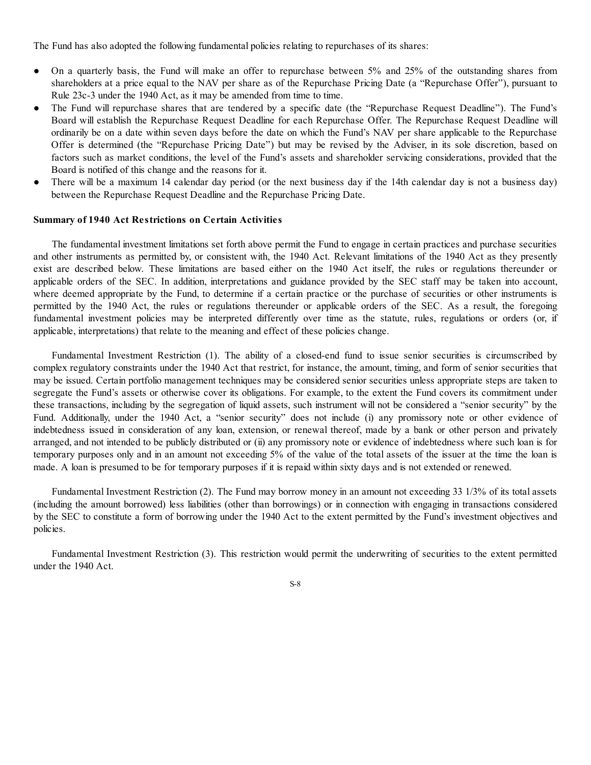The Fund has also adopted the following fundamental policies relating to repurchases of its shares:

- On a quarterly basis, the Fund will make an offer to repurchase between 5% and 25% of the outstanding shares from shareholders at a price equal to the NAV per share as of the Repurchase Pricing Date (a "Repurchase Offer"), pursuant to Rule 23c-3 under the 1940 Act, as it may be amended from time to time.
- The Fund will repurchase shares that are tendered by a specific date (the "Repurchase Request Deadline"). The Fund's Board will establish the Repurchase Request Deadline for each Repurchase Offer. The Repurchase Request Deadline will ordinarily be on a date within seven days before the date on which the Fund's NAV per share applicable to the Repurchase Offer is determined (the "Repurchase Pricing Date") but may be revised by the Adviser, in its sole discretion, based on factors such as market conditions, the level of the Fund's assets and shareholder servicing considerations, provided that the Board is notified of this change and the reasons for it.
- There will be a maximum 14 calendar day period (or the next business day if the 14th calendar day is not a business day) between the Repurchase Request Deadline and the Repurchase Pricing Date.

## **Summary of 1940 Act Restrictions on Certain Activities**

The fundamental investment limitations set forth above permit the Fund to engage in certain practices and purchase securities and other instruments as permitted by, or consistent with, the 1940 Act. Relevant limitations of the 1940 Act as they presently exist are described below. These limitations are based either on the 1940 Act itself, the rules or regulations thereunder or applicable orders of the SEC. In addition, interpretations and guidance provided by the SEC staff may be taken into account, where deemed appropriate by the Fund, to determine if a certain practice or the purchase of securities or other instruments is permitted by the 1940 Act, the rules or regulations thereunder or applicable orders of the SEC. As a result, the foregoing fundamental investment policies may be interpreted differently over time as the statute, rules, regulations or orders (or, if applicable, interpretations) that relate to the meaning and effect of these policies change.

Fundamental Investment Restriction (1). The ability of a closed-end fund to issue senior securities is circumscribed by complex regulatory constraints under the 1940 Act that restrict, for instance, the amount, timing, and form of senior securities that may be issued. Certain portfolio management techniques may be considered senior securities unless appropriate steps are taken to segregate the Fund's assets or otherwise cover its obligations. For example, to the extent the Fund covers its commitment under these transactions, including by the segregation of liquid assets, such instrument will not be considered a "senior security" by the Fund. Additionally, under the 1940 Act, a "senior security" does not include (i) any promissory note or other evidence of indebtedness issued in consideration of any loan, extension, or renewal thereof, made by a bank or other person and privately arranged, and not intended to be publicly distributed or (ii) any promissory note or evidence of indebtedness where such loan is for temporary purposes only and in an amount not exceeding 5% of the value of the total assets of the issuer at the time the loan is made. A loan is presumed to be for temporary purposes if it is repaid within sixty days and is not extended or renewed.

Fundamental Investment Restriction (2). The Fund may borrow money in an amount not exceeding 33 1/3% of its total assets (including the amount borrowed) less liabilities (other than borrowings) or in connection with engaging in transactions considered by the SEC to constitute a form of borrowing under the 1940 Act to the extent permitted by the Fund's investment objectives and policies.

Fundamental Investment Restriction (3). This restriction would permit the underwriting of securities to the extent permitted under the 1940 Act.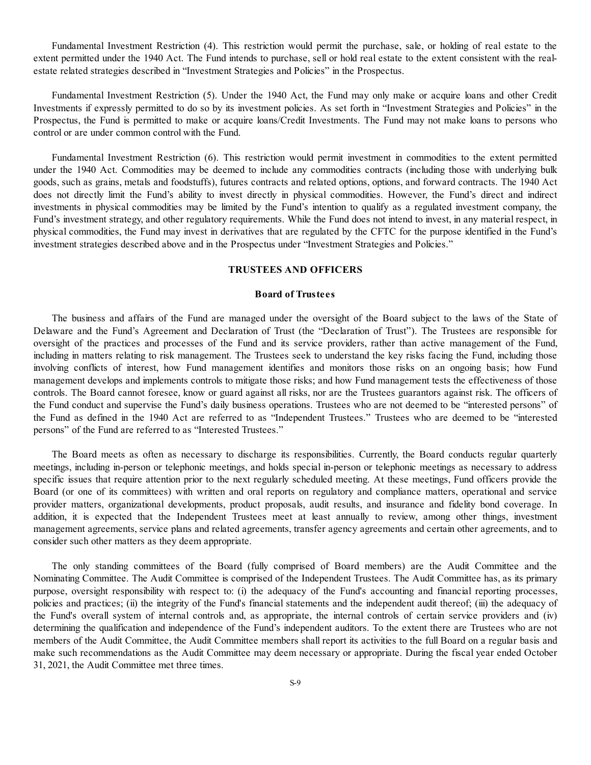Fundamental Investment Restriction (4). This restriction would permit the purchase, sale, or holding of real estate to the extent permitted under the 1940 Act. The Fund intends to purchase, sell or hold real estate to the extent consistent with the realestate related strategies described in "Investment Strategies and Policies" in the Prospectus.

Fundamental Investment Restriction (5). Under the 1940 Act, the Fund may only make or acquire loans and other Credit Investments if expressly permitted to do so by its investment policies. As set forth in "Investment Strategies and Policies" in the Prospectus, the Fund is permitted to make or acquire loans/Credit Investments. The Fund may not make loans to persons who control or are under common control with the Fund.

Fundamental Investment Restriction (6). This restriction would permit investment in commodities to the extent permitted under the 1940 Act. Commodities may be deemed to include any commodities contracts (including those with underlying bulk goods, such as grains, metals and foodstuffs), futures contracts and related options, options, and forward contracts. The 1940 Act does not directly limit the Fund's ability to invest directly in physical commodities. However, the Fund's direct and indirect investments in physical commodities may be limited by the Fund's intention to qualify as a regulated investment company, the Fund's investment strategy, and other regulatory requirements. While the Fund does not intend to invest, in any material respect, in physical commodities, the Fund may invest in derivatives that are regulated by the CFTC for the purpose identified in the Fund's investment strategies described above and in the Prospectus under "Investment Strategies and Policies."

# **TRUSTEES AND OFFICERS**

### **Board of Trustees**

The business and affairs of the Fund are managed under the oversight of the Board subject to the laws of the State of Delaware and the Fund's Agreement and Declaration of Trust (the "Declaration of Trust"). The Trustees are responsible for oversight of the practices and processes of the Fund and its service providers, rather than active management of the Fund, including in matters relating to risk management. The Trustees seek to understand the key risks facing the Fund, including those involving conflicts of interest, how Fund management identifies and monitors those risks on an ongoing basis; how Fund management develops and implements controls to mitigate those risks; and how Fund management tests the effectiveness of those controls. The Board cannot foresee, know or guard against all risks, nor are the Trustees guarantors against risk. The officers of the Fund conduct and supervise the Fund's daily business operations. Trustees who are not deemed to be "interested persons" of the Fund as defined in the 1940 Act are referred to as "Independent Trustees." Trustees who are deemed to be "interested persons" of the Fund are referred to as "Interested Trustees."

The Board meets as often as necessary to discharge its responsibilities. Currently, the Board conducts regular quarterly meetings, including in-person or telephonic meetings, and holds special in-person or telephonic meetings as necessary to address specific issues that require attention prior to the next regularly scheduled meeting. At these meetings, Fund officers provide the Board (or one of its committees) with written and oral reports on regulatory and compliance matters, operational and service provider matters, organizational developments, product proposals, audit results, and insurance and fidelity bond coverage. In addition, it is expected that the Independent Trustees meet at least annually to review, among other things, investment management agreements, service plans and related agreements, transfer agency agreements and certain other agreements, and to consider such other matters as they deem appropriate.

The only standing committees of the Board (fully comprised of Board members) are the Audit Committee and the Nominating Committee. The Audit Committee is comprised of the Independent Trustees. The Audit Committee has, as its primary purpose, oversight responsibility with respect to: (i) the adequacy of the Fund's accounting and financial reporting processes, policies and practices; (ii) the integrity of the Fund's financial statements and the independent audit thereof; (iii) the adequacy of the Fund's overall system of internal controls and, as appropriate, the internal controls of certain service providers and (iv) determining the qualification and independence of the Fund's independent auditors. To the extent there are Trustees who are not members of the Audit Committee, the Audit Committee members shall report its activities to the full Board on a regular basis and make such recommendations as the Audit Committee may deem necessary or appropriate. During the fiscal year ended October 31, 2021, the Audit Committee met three times.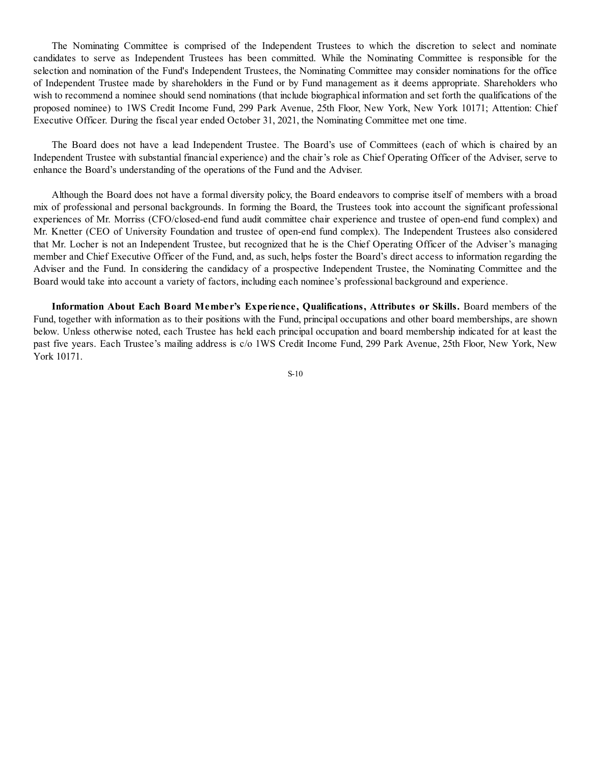The Nominating Committee is comprised of the Independent Trustees to which the discretion to select and nominate candidates to serve as Independent Trustees has been committed. While the Nominating Committee is responsible for the selection and nomination of the Fund's Independent Trustees, the Nominating Committee may consider nominations for the office of Independent Trustee made by shareholders in the Fund or by Fund management as it deems appropriate. Shareholders who wish to recommend a nominee should send nominations (that include biographical information and set forth the qualifications of the proposed nominee) to 1WS Credit Income Fund, 299 Park Avenue, 25th Floor, New York, New York 10171; Attention: Chief Executive Officer. During the fiscal year ended October 31, 2021, the Nominating Committee met one time.

The Board does not have a lead Independent Trustee. The Board's use of Committees (each of which is chaired by an Independent Trustee with substantial financial experience) and the chair's role as Chief Operating Officer of the Adviser, serve to enhance the Board's understanding of the operations of the Fund and the Adviser.

Although the Board does not have a formal diversity policy, the Board endeavors to comprise itself of members with a broad mix of professional and personal backgrounds. In forming the Board, the Trustees took into account the significant professional experiences of Mr. Morriss (CFO/closed-end fund audit committee chair experience and trustee of open-end fund complex) and Mr. Knetter (CEO of University Foundation and trustee of open-end fund complex). The Independent Trustees also considered that Mr. Locher is not an Independent Trustee, but recognized that he is the Chief Operating Officer of the Adviser's managing member and Chief Executive Officer of the Fund, and, as such, helps foster the Board's direct access to information regarding the Adviser and the Fund. In considering the candidacy of a prospective Independent Trustee, the Nominating Committee and the Board would take into account a variety of factors, including each nominee's professional background and experience.

**Information About Each Board Member's Experience, Qualifications, Attributes or Skills.** Board members of the Fund, together with information as to their positions with the Fund, principal occupations and other board memberships, are shown below. Unless otherwise noted, each Trustee has held each principal occupation and board membership indicated for at least the past five years. Each Trustee's mailing address is c/o 1WS Credit Income Fund, 299 Park Avenue, 25th Floor, New York, New York 10171.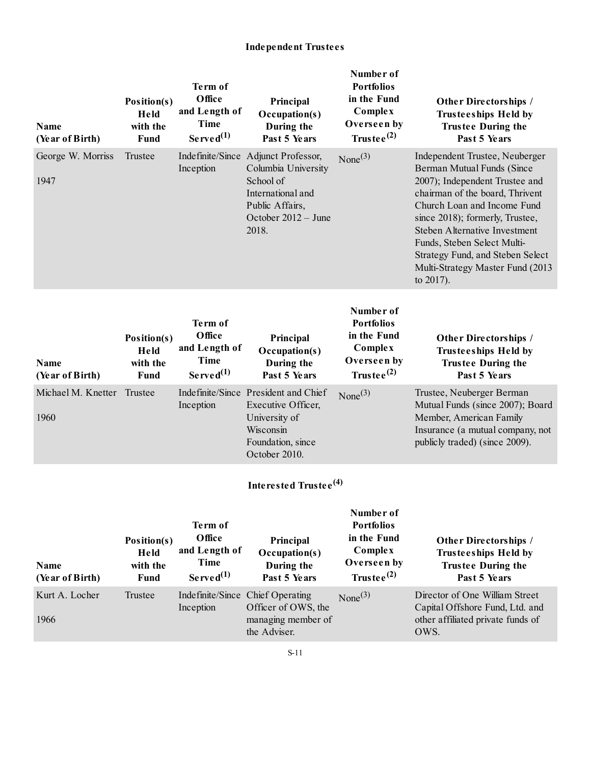# **Independent Trustees**

| <b>Name</b><br>(Year of Birth) | Position(s)<br>Held<br>with the<br><b>Fund</b> | Term of<br>Office<br>and Length of<br><b>Time</b><br>Served <sup>(1)</sup> | Principal<br>Occupation(s)<br>During the<br>Past 5 Years                                                                       | Number of<br><b>Portfolios</b><br>in the Fund<br>Complex<br>Overseen by<br>Trustee $^{(2)}$ | Other Directorships /<br><b>Trusteeships Held by</b><br><b>Trustee During the</b><br>Past 5 Years                                                                                                                                                                                                                                                               |
|--------------------------------|------------------------------------------------|----------------------------------------------------------------------------|--------------------------------------------------------------------------------------------------------------------------------|---------------------------------------------------------------------------------------------|-----------------------------------------------------------------------------------------------------------------------------------------------------------------------------------------------------------------------------------------------------------------------------------------------------------------------------------------------------------------|
| George W. Morriss<br>1947      | Trustee                                        | Indefinite/Since<br>Inception                                              | Adjunct Professor,<br>Columbia University<br>School of<br>International and<br>Public Affairs,<br>October 2012 - June<br>2018. | None $(3)$                                                                                  | Independent Trustee, Neuberger<br>Berman Mutual Funds (Since<br>2007); Independent Trustee and<br>chairman of the board, Thrivent<br>Church Loan and Income Fund<br>since 2018); formerly, Trustee,<br><b>Steben Alternative Investment</b><br>Funds, Steben Select Multi-<br>Strategy Fund, and Steben Select<br>Multi-Strategy Master Fund (2013<br>to 2017). |
| <b>Name</b><br>(Year of Birth) | Position(s)<br>Held<br>with the<br><b>Fund</b> | Term of<br>Office<br>and Length of<br><b>Time</b><br>Served <sup>(1)</sup> | Principal<br>Occupation(s)<br>During the<br>Past 5 Years                                                                       | Number of<br><b>Portfolios</b><br>in the Fund<br>Complex<br>Overseen by<br>Trustee $^{(2)}$ | Other Directorships /<br><b>Trusteeships Held by</b><br><b>Trustee During the</b><br>Past 5 Years                                                                                                                                                                                                                                                               |
| Michael M. Knetter<br>1960     | Trustee                                        | Inception                                                                  | Indefinite/Since President and Chief<br>Executive Officer,<br>University of<br>Wisconsin<br>Foundation, since<br>October 2010. | None $(3)$                                                                                  | Trustee, Neuberger Berman<br>Mutual Funds (since 2007); Board<br>Member, American Family<br>Insurance (a mutual company, not<br>publicly traded) (since 2009).                                                                                                                                                                                                  |
|                                |                                                |                                                                            | Interested Trustee <sup>(4)</sup>                                                                                              |                                                                                             |                                                                                                                                                                                                                                                                                                                                                                 |
|                                | Position(s)                                    | Term of<br>Office                                                          | Principal                                                                                                                      | Number of<br><b>Portfolios</b><br>in the Fund                                               | Other Directorships /                                                                                                                                                                                                                                                                                                                                           |

| Name<br>(Year of Birth) | Held<br>with the<br>Fund | and Length of<br>Time<br>$Served^{(1)}$ | Occupation(s)<br>During the<br>Past 5 Years             | Complex<br>Overseen by<br>Trustee $^{(2)}$ | <b>Trusteeships Held by</b><br><b>Trustee During the</b><br>Past 5 Years |
|-------------------------|--------------------------|-----------------------------------------|---------------------------------------------------------|--------------------------------------------|--------------------------------------------------------------------------|
| Kurt A. Locher          | Trustee                  | Inception                               | Indefinite/Since Chief Operating<br>Officer of OWS, the | None <sup>(3)</sup>                        | Director of One William Street<br>Capital Offshore Fund, Ltd. and        |
| 1966                    |                          |                                         | managing member of<br>the Adviser.                      |                                            | other affiliated private funds of<br>OWS.                                |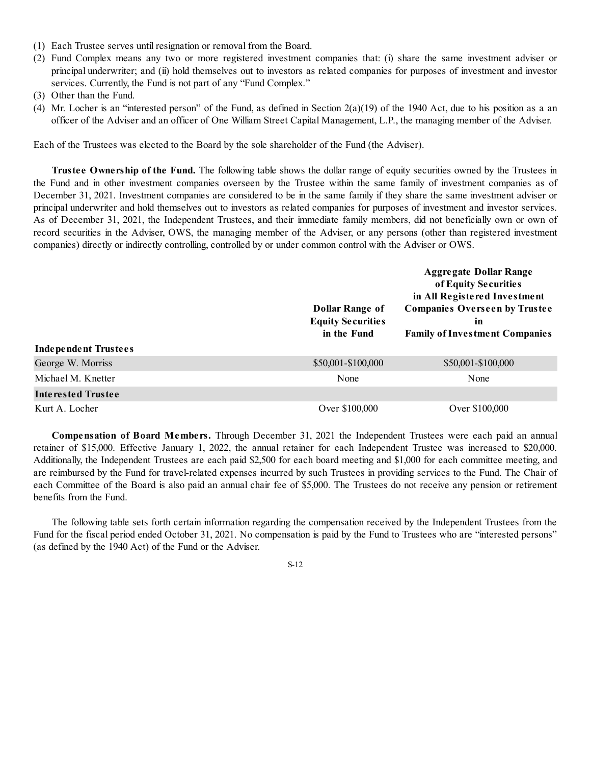- (1) Each Trustee serves until resignation or removal from the Board.
- (2) Fund Complex means any two or more registered investment companies that: (i) share the same investment adviser or principal underwriter; and (ii) hold themselves out to investors as related companies for purposes of investment and investor services. Currently, the Fund is not part of any "Fund Complex."
- (3) Other than the Fund.
- (4) Mr. Locher is an "interested person" of the Fund, as defined in Section 2(a)(19) of the 1940 Act, due to his position as a an officer of the Adviser and an officer of One William Street Capital Management, L.P., the managing member of the Adviser.

Each of the Trustees was elected to the Board by the sole shareholder of the Fund (the Adviser).

**Trustee Ownership of the Fund.** The following table shows the dollar range of equity securities owned by the Trustees in the Fund and in other investment companies overseen by the Trustee within the same family of investment companies as of December 31, 2021. Investment companies are considered to be in the same family if they share the same investment adviser or principal underwriter and hold themselves out to investors as related companies for purposes of investment and investor services. As of December 31, 2021, the Independent Trustees, and their immediate family members, did not beneficially own or own of record securities in the Adviser, OWS, the managing member of the Adviser, or any persons (other than registered investment companies) directly or indirectly controlling, controlled by or under common control with the Adviser or OWS.

|                             | Dollar Range of<br><b>Equity Securities</b><br>in the Fund | <b>Aggregate Dollar Range</b><br>of Equity Securities<br>in All Registered Investment<br><b>Companies Overseen by Trustee</b><br>in<br><b>Family of Investment Companies</b> |
|-----------------------------|------------------------------------------------------------|------------------------------------------------------------------------------------------------------------------------------------------------------------------------------|
| <b>Independent Trustees</b> |                                                            |                                                                                                                                                                              |
| George W. Morriss           | \$50,001-\$100,000                                         | \$50,001-\$100,000                                                                                                                                                           |
| Michael M. Knetter          | None                                                       | None                                                                                                                                                                         |
| Interested Trustee          |                                                            |                                                                                                                                                                              |
| Kurt A. Locher              | Over \$100,000                                             | Over \$100,000                                                                                                                                                               |

**Compensation of Board Members.** Through December 31, 2021 the Independent Trustees were each paid an annual retainer of \$15,000. Effective January 1, 2022, the annual retainer for each Independent Trustee was increased to \$20,000. Additionally, the Independent Trustees are each paid \$2,500 for each board meeting and \$1,000 for each committee meeting, and are reimbursed by the Fund for travel-related expenses incurred by such Trustees in providing services to the Fund. The Chair of each Committee of the Board is also paid an annual chair fee of \$5,000. The Trustees do not receive any pension or retirement benefits from the Fund.

The following table sets forth certain information regarding the compensation received by the Independent Trustees from the Fund for the fiscal period ended October 31, 2021. No compensation is paid by the Fund to Trustees who are "interested persons" (as defined by the 1940 Act) of the Fund or the Adviser.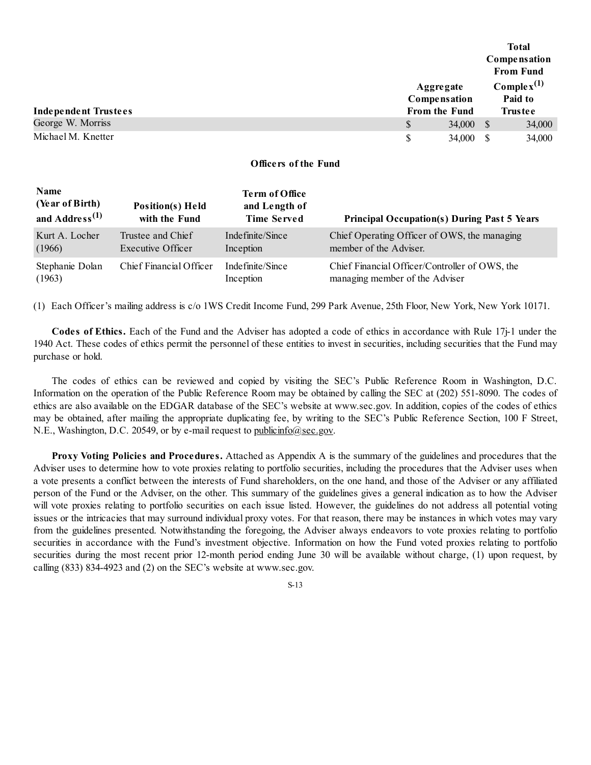|                             |                      |           | <b>Total</b>    |        |
|-----------------------------|----------------------|-----------|-----------------|--------|
|                             |                      |           | Compensation    |        |
|                             | <b>From Fund</b>     |           |                 |        |
|                             | Aggregate            |           | $Complex^{(1)}$ |        |
|                             | Compensation         |           | Paid to         |        |
| <b>Independent Trustees</b> | <b>From the Fund</b> |           | <b>Trustee</b>  |        |
| George W. Morriss           | \$                   | 34,000 \$ |                 | 34,000 |
| Michael M. Knetter          | S                    | 34,000    |                 | 34,000 |

# **Officers of the Fund**

| Name<br>(Year of Birth)<br>and Address <sup><math>(1)</math></sup> | <b>Position(s)</b> Held<br>with the Fund | <b>Term of Office</b><br>and Length of<br><b>Time Served</b> | <b>Principal Occupation(s) During Past 5 Years</b> |
|--------------------------------------------------------------------|------------------------------------------|--------------------------------------------------------------|----------------------------------------------------|
| Kurt A. Locher                                                     | Trustee and Chief                        | Indefinite/Since                                             | Chief Operating Officer of OWS, the managing       |
| (1966)                                                             | Executive Officer                        | Inception                                                    | member of the Adviser.                             |
| Stephanie Dolan                                                    | Chief Financial Officer                  | Indefinite/Since                                             | Chief Financial Officer/Controller of OWS, the     |
| (1963)                                                             |                                          | Inception                                                    | managing member of the Adviser                     |

(1) Each Officer's mailing address is c/o 1WS Credit Income Fund, 299 Park Avenue, 25th Floor, New York, New York 10171.

**Codes of Ethics.** Each of the Fund and the Adviser has adopted a code of ethics in accordance with Rule 17j-1 under the 1940 Act. These codes of ethics permit the personnel of these entities to invest in securities, including securities that the Fund may purchase or hold.

The codes of ethics can be reviewed and copied by visiting the SEC's Public Reference Room in Washington, D.C. Information on the operation of the Public Reference Room may be obtained by calling the SEC at (202) 551-8090. The codes of ethics are also available on the EDGAR database of the SEC's website at www.sec.gov. In addition, copies of the codes of ethics may be obtained, after mailing the appropriate duplicating fee, by writing to the SEC's Public Reference Section, 100 F Street, N.E., Washington, D.C. 20549, or by e-mail request to publicinfo@sec.gov.

**Proxy Voting Policies and Procedures.** Attached as Appendix A is the summary of the guidelines and procedures that the Adviser uses to determine how to vote proxies relating to portfolio securities, including the procedures that the Adviser uses when a vote presents a conflict between the interests of Fund shareholders, on the one hand, and those of the Adviser or any affiliated person of the Fund or the Adviser, on the other. This summary of the guidelines gives a general indication as to how the Adviser will vote proxies relating to portfolio securities on each issue listed. However, the guidelines do not address all potential voting issues or the intricacies that may surround individual proxy votes. For that reason, there may be instances in which votes may vary from the guidelines presented. Notwithstanding the foregoing, the Adviser always endeavors to vote proxies relating to portfolio securities in accordance with the Fund's investment objective. Information on how the Fund voted proxies relating to portfolio securities during the most recent prior 12-month period ending June 30 will be available without charge, (1) upon request, by calling (833) 834-4923 and (2) on the SEC's website at www.sec.gov.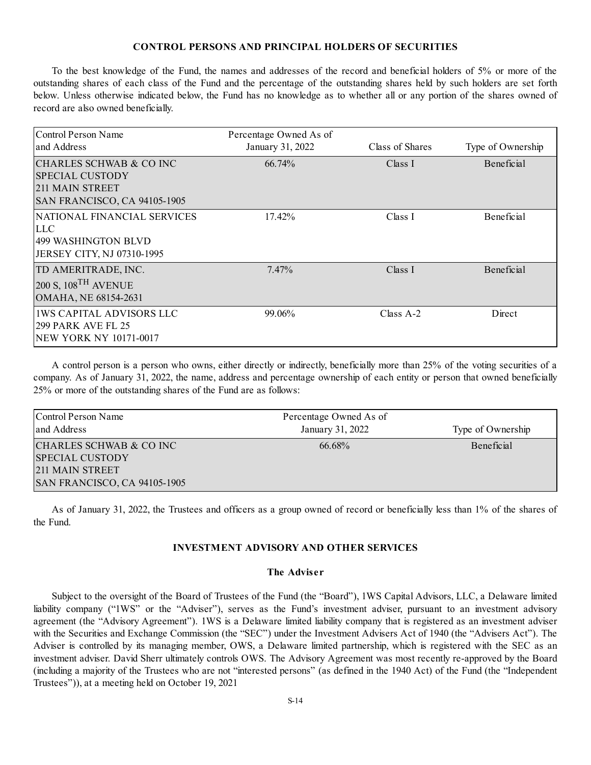#### **CONTROL PERSONS AND PRINCIPAL HOLDERS OF SECURITIES**

To the best knowledge of the Fund, the names and addresses of the record and beneficial holders of 5% or more of the outstanding shares of each class of the Fund and the percentage of the outstanding shares held by such holders are set forth below. Unless otherwise indicated below, the Fund has no knowledge as to whether all or any portion of the shares owned of record are also owned beneficially.

| Control Person Name<br>and Address                                                                    | Percentage Owned As of<br>January 31, 2022 | Class of Shares | Type of Ownership |
|-------------------------------------------------------------------------------------------------------|--------------------------------------------|-----------------|-------------------|
| ICHARLES SCHWAB & CO INC<br><b>SPECIAL CUSTODY</b><br>211 MAIN STREET<br>SAN FRANCISCO, CA 94105-1905 | 66.74%                                     | Class I         | <b>Beneficial</b> |
| NATIONAL FINANCIAL SERVICES<br><b>LLC</b><br>499 WASHINGTON BLVD<br>JERSEY CITY, NJ 07310-1995        | $17.42\%$                                  | Class I         | <b>Beneficial</b> |
| TD AMERITRADE, INC.<br>$200 S$ , $108$ <sup>TH</sup> AVENUE<br>OMAHA, NE 68154-2631                   | $7.47\%$                                   | Class I         | Beneficial        |
| <b>1WS CAPITAL ADVISORS LLC</b><br><b>299 PARK AVE FL 25</b><br>NEW YORK NY 10171-0017                | 99.06%                                     | Class $A-2$     | Direct            |

A control person is a person who owns, either directly or indirectly, beneficially more than 25% of the voting securities of a company. As of January 31, 2022, the name, address and percentage ownership of each entity or person that owned beneficially 25% or more of the outstanding shares of the Fund are as follows:

| Control Person Name<br>and Address                                                                          | Percentage Owned As of<br>January 31, 2022 | Type of Ownership |
|-------------------------------------------------------------------------------------------------------------|--------------------------------------------|-------------------|
| CHARLES SCHWAB & CO INC<br><b>SPECIAL CUSTODY</b><br>211 MAIN STREET<br><b>SAN FRANCISCO, CA 94105-1905</b> | 66.68%                                     | Beneficial        |

As of January 31, 2022, the Trustees and officers as a group owned of record or beneficially less than 1% of the shares of the Fund.

## **INVESTMENT ADVISORY AND OTHER SERVICES**

# **The Adviser**

Subject to the oversight of the Board of Trustees of the Fund (the "Board"), 1WS Capital Advisors, LLC, a Delaware limited liability company ("1WS" or the "Adviser"), serves as the Fund's investment adviser, pursuant to an investment advisory agreement (the "Advisory Agreement"). 1WS is a Delaware limited liability company that is registered as an investment adviser with the Securities and Exchange Commission (the "SEC") under the Investment Advisers Act of 1940 (the "Advisers Act"). The Adviser is controlled by its managing member, OWS, a Delaware limited partnership, which is registered with the SEC as an investment adviser. David Sherr ultimately controls OWS. The Advisory Agreement was most recently re-approved by the Board (including a majority of the Trustees who are not "interested persons" (as defined in the 1940 Act) of the Fund (the "Independent Trustees")), at a meeting held on October 19, 2021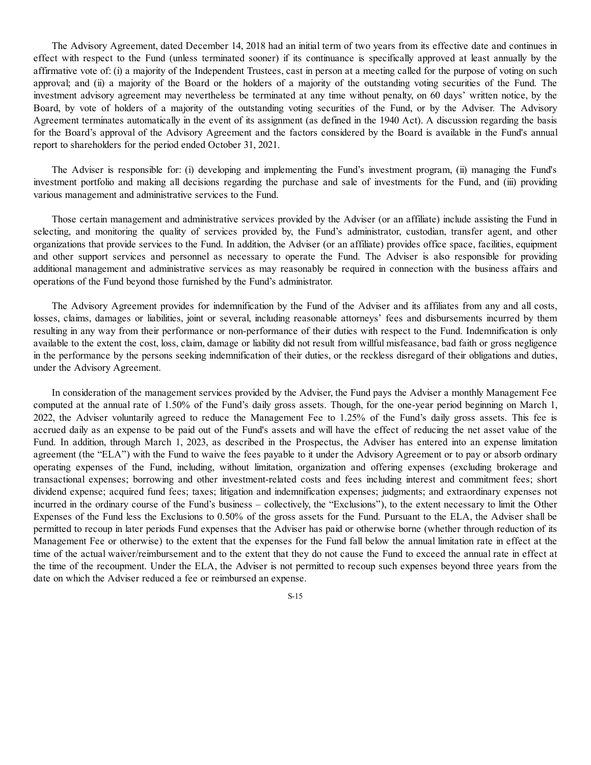The Advisory Agreement, dated December 14, 2018 had an initial term of two years from its effective date and continues in effect with respect to the Fund (unless terminated sooner) if its continuance is specifically approved at least annually by the affirmative vote of: (i) a majority of the Independent Trustees, cast in person at a meeting called for the purpose of voting on such approval; and (ii) a majority of the Board or the holders of a majority of the outstanding voting securities of the Fund. The investment advisory agreement may nevertheless be terminated at any time without penalty, on 60 days' written notice, by the Board, by vote of holders of a majority of the outstanding voting securities of the Fund, or by the Adviser. The Advisory Agreement terminates automatically in the event of its assignment (as defined in the 1940 Act). A discussion regarding the basis for the Board's approval of the Advisory Agreement and the factors considered by the Board is available in the Fund's annual report to shareholders for the period ended October 31, 2021.

The Adviser is responsible for: (i) developing and implementing the Fund's investment program, (ii) managing the Fund's investment portfolio and making all decisions regarding the purchase and sale of investments for the Fund, and (iii) providing various management and administrative services to the Fund.

Those certain management and administrative services provided by the Adviser (or an affiliate) include assisting the Fund in selecting, and monitoring the quality of services provided by, the Fund's administrator, custodian, transfer agent, and other organizations that provide services to the Fund. In addition, the Adviser (or an affiliate) provides office space, facilities, equipment and other support services and personnel as necessary to operate the Fund. The Adviser is also responsible for providing additional management and administrative services as may reasonably be required in connection with the business affairs and operations of the Fund beyond those furnished by the Fund's administrator.

The Advisory Agreement provides for indemnification by the Fund of the Adviser and its affiliates from any and all costs, losses, claims, damages or liabilities, joint or several, including reasonable attorneys' fees and disbursements incurred by them resulting in any way from their performance or non-performance of their duties with respect to the Fund. Indemnification is only available to the extent the cost, loss, claim, damage or liability did not result from willful misfeasance, bad faith or gross negligence in the performance by the persons seeking indemnification of their duties, or the reckless disregard of their obligations and duties, under the Advisory Agreement.

In consideration of the management services provided by the Adviser, the Fund pays the Adviser a monthly Management Fee computed at the annual rate of 1.50% of the Fund's daily gross assets. Though, for the one-year period beginning on March 1, 2022, the Adviser voluntarily agreed to reduce the Management Fee to 1.25% of the Fund's daily gross assets. This fee is accrued daily as an expense to be paid out of the Fund's assets and will have the effect of reducing the net asset value of the Fund. In addition, through March 1, 2023, as described in the Prospectus, the Adviser has entered into an expense limitation agreement (the "ELA") with the Fund to waive the fees payable to it under the Advisory Agreement or to pay or absorb ordinary operating expenses of the Fund, including, without limitation, organization and offering expenses (excluding brokerage and transactional expenses; borrowing and other investment-related costs and fees including interest and commitment fees; short dividend expense; acquired fund fees; taxes; litigation and indemnification expenses; judgments; and extraordinary expenses not incurred in the ordinary course of the Fund's business – collectively, the "Exclusions"), to the extent necessary to limit the Other Expenses of the Fund less the Exclusions to 0.50% of the gross assets for the Fund. Pursuant to the ELA, the Adviser shall be permitted to recoup in later periods Fund expenses that the Adviser has paid or otherwise borne (whether through reduction of its Management Fee or otherwise) to the extent that the expenses for the Fund fall below the annual limitation rate in effect at the time of the actual waiver/reimbursement and to the extent that they do not cause the Fund to exceed the annual rate in effect at the time of the recoupment. Under the ELA, the Adviser is not permitted to recoup such expenses beyond three years from the date on which the Adviser reduced a fee or reimbursed an expense.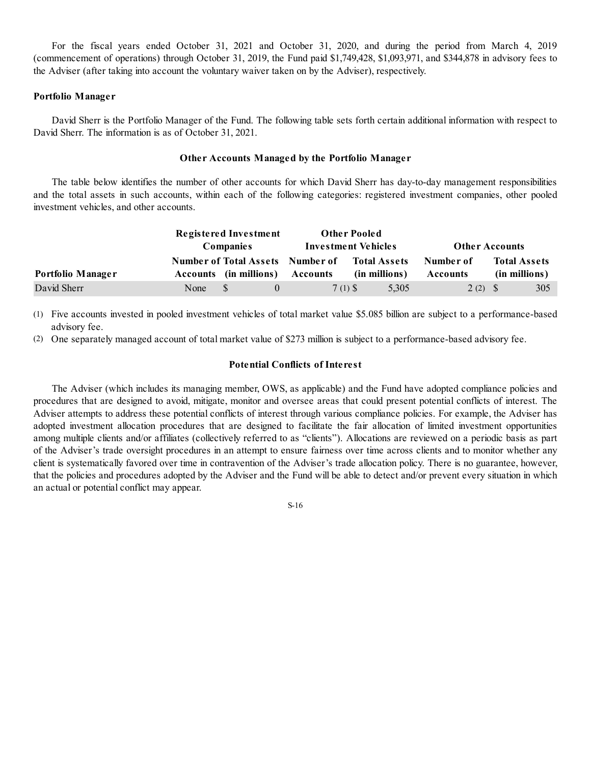For the fiscal years ended October 31, 2021 and October 31, 2020, and during the period from March 4, 2019 (commencement of operations) through October 31, 2019, the Fund paid \$1,749,428, \$1,093,971, and \$344,878 in advisory fees to the Adviser (after taking into account the voluntary waiver taken on by the Adviser), respectively.

## **Portfolio Manager**

David Sherr is the Portfolio Manager of the Fund. The following table sets forth certain additional information with respect to David Sherr. The information is as of October 31, 2021.

## **Other Accounts Managed by the Portfolio Manager**

The table below identifies the number of other accounts for which David Sherr has day-to-day management responsibilities and the total assets in such accounts, within each of the following categories: registered investment companies, other pooled investment vehicles, and other accounts.

|                   | Registered Investment<br><b>Companies</b> |                                                                   | <b>Other Pooled</b><br><b>Investment Vehicles</b> |                                      | <b>Other Accounts</b> |                                      |
|-------------------|-------------------------------------------|-------------------------------------------------------------------|---------------------------------------------------|--------------------------------------|-----------------------|--------------------------------------|
| Portfolio Manager |                                           | <b>Number of Total Assets Number of</b><br>Accounts (in millions) | Accounts                                          | <b>Total Assets</b><br>(in millions) | Number of<br>Accounts | <b>Total Assets</b><br>(in millions) |
| David Sherr       | None                                      | $^{\circ}$                                                        | 7(1) S                                            | 5,305                                | $2(2)$ \$             | 305                                  |

(1) Five accounts invested in pooled investment vehicles of total market value \$5.085 billion are subject to a performance-based advisory fee.

(2) One separately managed account of total market value of \$273 million is subject to a performance-based advisory fee.

## **Potential Conflicts of Interest**

The Adviser (which includes its managing member, OWS, as applicable) and the Fund have adopted compliance policies and procedures that are designed to avoid, mitigate, monitor and oversee areas that could present potential conflicts of interest. The Adviser attempts to address these potential conflicts of interest through various compliance policies. For example, the Adviser has adopted investment allocation procedures that are designed to facilitate the fair allocation of limited investment opportunities among multiple clients and/or affiliates (collectively referred to as "clients"). Allocations are reviewed on a periodic basis as part of the Adviser's trade oversight procedures in an attempt to ensure fairness over time across clients and to monitor whether any client is systematically favored over time in contravention of the Adviser's trade allocation policy. There is no guarantee, however, that the policies and procedures adopted by the Adviser and the Fund will be able to detect and/or prevent every situation in which an actual or potential conflict may appear.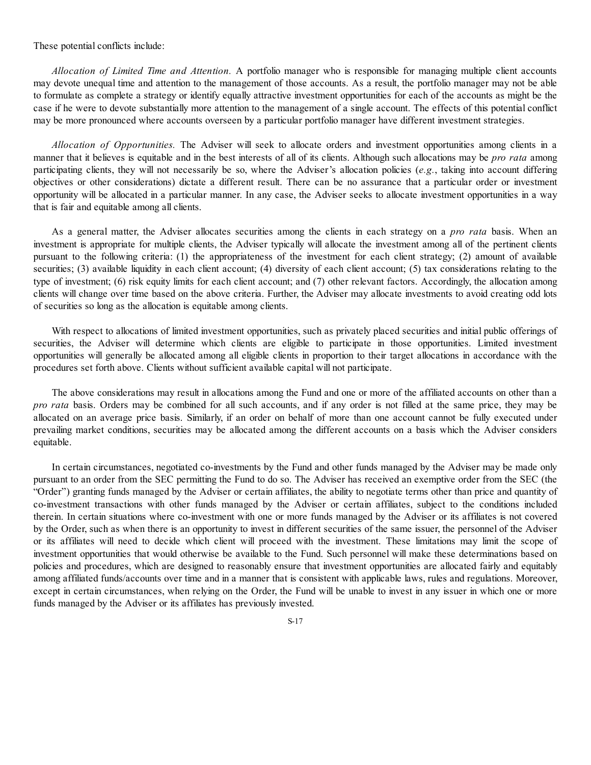These potential conflicts include:

*Allocation of Limited Time and Attention.* A portfolio manager who is responsible for managing multiple client accounts may devote unequal time and attention to the management of those accounts. As a result, the portfolio manager may not be able to formulate as complete a strategy or identify equally attractive investment opportunities for each of the accounts as might be the case if he were to devote substantially more attention to the management of a single account. The effects of this potential conflict may be more pronounced where accounts overseen by a particular portfolio manager have different investment strategies.

*Allocation of Opportunities.* The Adviser will seek to allocate orders and investment opportunities among clients in a manner that it believes is equitable and in the best interests of all of its clients. Although such allocations may be *pro rata* among participating clients, they will not necessarily be so, where the Adviser's allocation policies (*e.g.*, taking into account differing objectives or other considerations) dictate a different result. There can be no assurance that a particular order or investment opportunity will be allocated in a particular manner. In any case, the Adviser seeks to allocate investment opportunities in a way that is fair and equitable among all clients.

As a general matter, the Adviser allocates securities among the clients in each strategy on a *pro rata* basis. When an investment is appropriate for multiple clients, the Adviser typically will allocate the investment among all of the pertinent clients pursuant to the following criteria: (1) the appropriateness of the investment for each client strategy; (2) amount of available securities; (3) available liquidity in each client account; (4) diversity of each client account; (5) tax considerations relating to the type of investment; (6) risk equity limits for each client account; and (7) other relevant factors. Accordingly, the allocation among clients will change over time based on the above criteria. Further, the Adviser may allocate investments to avoid creating odd lots of securities so long as the allocation is equitable among clients.

With respect to allocations of limited investment opportunities, such as privately placed securities and initial public offerings of securities, the Adviser will determine which clients are eligible to participate in those opportunities. Limited investment opportunities will generally be allocated among all eligible clients in proportion to their target allocations in accordance with the procedures set forth above. Clients without sufficient available capital will not participate.

The above considerations may result in allocations among the Fund and one or more of the affiliated accounts on other than a *pro rata* basis. Orders may be combined for all such accounts, and if any order is not filled at the same price, they may be allocated on an average price basis. Similarly, if an order on behalf of more than one account cannot be fully executed under prevailing market conditions, securities may be allocated among the different accounts on a basis which the Adviser considers equitable.

In certain circumstances, negotiated co-investments by the Fund and other funds managed by the Adviser may be made only pursuant to an order from the SEC permitting the Fund to do so. The Adviser has received an exemptive order from the SEC (the "Order") granting funds managed by the Adviser or certain affiliates, the ability to negotiate terms other than price and quantity of co-investment transactions with other funds managed by the Adviser or certain affiliates, subject to the conditions included therein. In certain situations where co-investment with one or more funds managed by the Adviser or its affiliates is not covered by the Order, such as when there is an opportunity to invest in different securities of the same issuer, the personnel of the Adviser or its affiliates will need to decide which client will proceed with the investment. These limitations may limit the scope of investment opportunities that would otherwise be available to the Fund. Such personnel will make these determinations based on policies and procedures, which are designed to reasonably ensure that investment opportunities are allocated fairly and equitably among affiliated funds/accounts over time and in a manner that is consistent with applicable laws, rules and regulations. Moreover, except in certain circumstances, when relying on the Order, the Fund will be unable to invest in any issuer in which one or more funds managed by the Adviser or its affiliates has previously invested.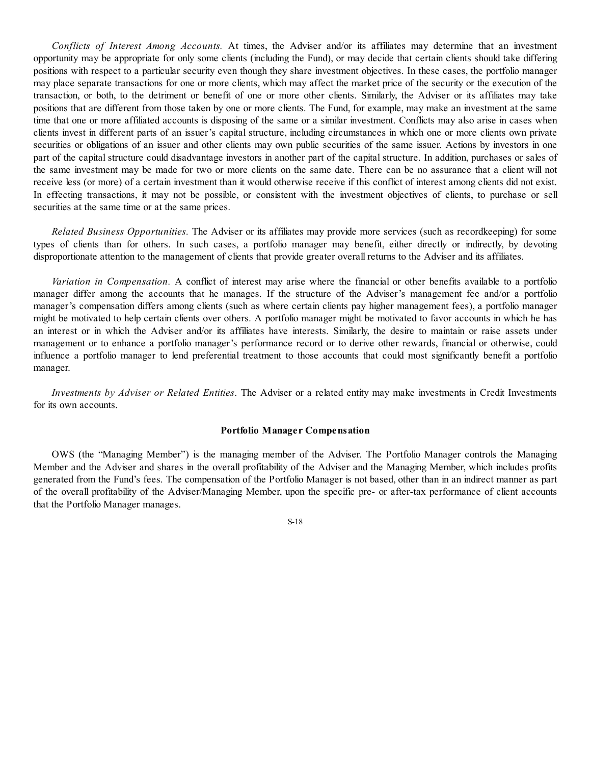*Conflicts of Interest Among Accounts.* At times, the Adviser and/or its affiliates may determine that an investment opportunity may be appropriate for only some clients (including the Fund), or may decide that certain clients should take differing positions with respect to a particular security even though they share investment objectives. In these cases, the portfolio manager may place separate transactions for one or more clients, which may affect the market price of the security or the execution of the transaction, or both, to the detriment or benefit of one or more other clients. Similarly, the Adviser or its affiliates may take positions that are different from those taken by one or more clients. The Fund, for example, may make an investment at the same time that one or more affiliated accounts is disposing of the same or a similar investment. Conflicts may also arise in cases when clients invest in different parts of an issuer's capital structure, including circumstances in which one or more clients own private securities or obligations of an issuer and other clients may own public securities of the same issuer. Actions by investors in one part of the capital structure could disadvantage investors in another part of the capital structure. In addition, purchases or sales of the same investment may be made for two or more clients on the same date. There can be no assurance that a client will not receive less (or more) of a certain investment than it would otherwise receive if this conflict of interest among clients did not exist. In effecting transactions, it may not be possible, or consistent with the investment objectives of clients, to purchase or sell securities at the same time or at the same prices.

*Related Business Opportunities.* The Adviser or its affiliates may provide more services (such as recordkeeping) for some types of clients than for others. In such cases, a portfolio manager may benefit, either directly or indirectly, by devoting disproportionate attention to the management of clients that provide greater overall returns to the Adviser and its affiliates.

*Variation in Compensation.* A conflict of interest may arise where the financial or other benefits available to a portfolio manager differ among the accounts that he manages. If the structure of the Adviser's management fee and/or a portfolio manager's compensation differs among clients (such as where certain clients pay higher management fees), a portfolio manager might be motivated to help certain clients over others. A portfolio manager might be motivated to favor accounts in which he has an interest or in which the Adviser and/or its affiliates have interests. Similarly, the desire to maintain or raise assets under management or to enhance a portfolio manager's performance record or to derive other rewards, financial or otherwise, could influence a portfolio manager to lend preferential treatment to those accounts that could most significantly benefit a portfolio manager.

*Investments by Adviser or Related Entities*. The Adviser or a related entity may make investments in Credit Investments for its own accounts.

## **Portfolio Manager Compensation**

OWS (the "Managing Member") is the managing member of the Adviser. The Portfolio Manager controls the Managing Member and the Adviser and shares in the overall profitability of the Adviser and the Managing Member, which includes profits generated from the Fund's fees. The compensation of the Portfolio Manager is not based, other than in an indirect manner as part of the overall profitability of the Adviser/Managing Member, upon the specific pre- or after-tax performance of client accounts that the Portfolio Manager manages.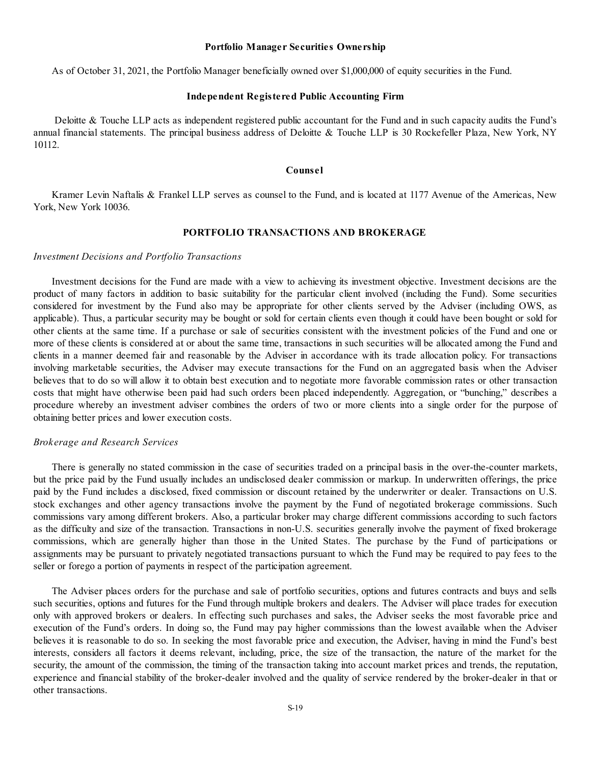#### **Portfolio Manager Securities Ownership**

As of October 31, 2021, the Portfolio Manager beneficially owned over \$1,000,000 of equity securities in the Fund.

#### **Independent Registered Public Accounting Firm**

Deloitte & Touche LLP acts as independent registered public accountant for the Fund and in such capacity audits the Fund's annual financial statements. The principal business address of Deloitte & Touche LLP is 30 Rockefeller Plaza, New York, NY 10112.

#### **Counsel**

Kramer Levin Naftalis & Frankel LLP serves as counsel to the Fund, and is located at 1177 Avenue of the Americas, New York, New York 10036.

# **PORTFOLIO TRANSACTIONS AND BROKERAGE**

#### *Investment Decisions and Portfolio Transactions*

Investment decisions for the Fund are made with a view to achieving its investment objective. Investment decisions are the product of many factors in addition to basic suitability for the particular client involved (including the Fund). Some securities considered for investment by the Fund also may be appropriate for other clients served by the Adviser (including OWS, as applicable). Thus, a particular security may be bought or sold for certain clients even though it could have been bought or sold for other clients at the same time. If a purchase or sale of securities consistent with the investment policies of the Fund and one or more of these clients is considered at or about the same time, transactions in such securities will be allocated among the Fund and clients in a manner deemed fair and reasonable by the Adviser in accordance with its trade allocation policy. For transactions involving marketable securities, the Adviser may execute transactions for the Fund on an aggregated basis when the Adviser believes that to do so will allow it to obtain best execution and to negotiate more favorable commission rates or other transaction costs that might have otherwise been paid had such orders been placed independently. Aggregation, or "bunching," describes a procedure whereby an investment adviser combines the orders of two or more clients into a single order for the purpose of obtaining better prices and lower execution costs.

#### *Brokerage and Research Services*

There is generally no stated commission in the case of securities traded on a principal basis in the over-the-counter markets, but the price paid by the Fund usually includes an undisclosed dealer commission or markup. In underwritten offerings, the price paid by the Fund includes a disclosed, fixed commission or discount retained by the underwriter or dealer. Transactions on U.S. stock exchanges and other agency transactions involve the payment by the Fund of negotiated brokerage commissions. Such commissions vary among different brokers. Also, a particular broker may charge different commissions according to such factors as the difficulty and size of the transaction. Transactions in non-U.S. securities generally involve the payment of fixed brokerage commissions, which are generally higher than those in the United States. The purchase by the Fund of participations or assignments may be pursuant to privately negotiated transactions pursuant to which the Fund may be required to pay fees to the seller or forego a portion of payments in respect of the participation agreement.

The Adviser places orders for the purchase and sale of portfolio securities, options and futures contracts and buys and sells such securities, options and futures for the Fund through multiple brokers and dealers. The Adviser will place trades for execution only with approved brokers or dealers. In effecting such purchases and sales, the Adviser seeks the most favorable price and execution of the Fund's orders. In doing so, the Fund may pay higher commissions than the lowest available when the Adviser believes it is reasonable to do so. In seeking the most favorable price and execution, the Adviser, having in mind the Fund's best interests, considers all factors it deems relevant, including, price, the size of the transaction, the nature of the market for the security, the amount of the commission, the timing of the transaction taking into account market prices and trends, the reputation, experience and financial stability of the broker-dealer involved and the quality of service rendered by the broker-dealer in that or other transactions.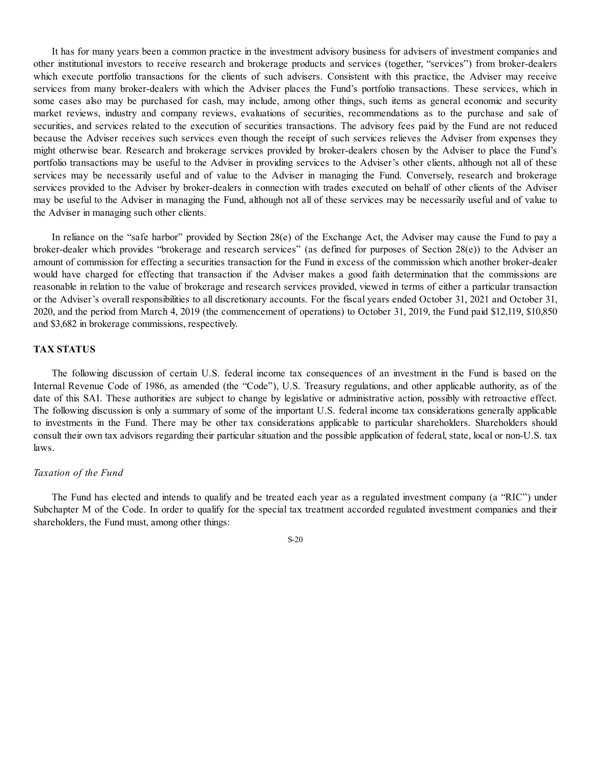It has for many years been a common practice in the investment advisory business for advisers of investment companies and other institutional investors to receive research and brokerage products and services (together, "services") from broker-dealers which execute portfolio transactions for the clients of such advisers. Consistent with this practice, the Adviser may receive services from many broker-dealers with which the Adviser places the Fund's portfolio transactions. These services, which in some cases also may be purchased for cash, may include, among other things, such items as general economic and security market reviews, industry and company reviews, evaluations of securities, recommendations as to the purchase and sale of securities, and services related to the execution of securities transactions. The advisory fees paid by the Fund are not reduced because the Adviser receives such services even though the receipt of such services relieves the Adviser from expenses they might otherwise bear. Research and brokerage services provided by broker-dealers chosen by the Adviser to place the Fund's portfolio transactions may be useful to the Adviser in providing services to the Adviser's other clients, although not all of these services may be necessarily useful and of value to the Adviser in managing the Fund. Conversely, research and brokerage services provided to the Adviser by broker-dealers in connection with trades executed on behalf of other clients of the Adviser may be useful to the Adviser in managing the Fund, although not all of these services may be necessarily useful and of value to the Adviser in managing such other clients.

In reliance on the "safe harbor" provided by Section 28(e) of the Exchange Act, the Adviser may cause the Fund to pay a broker-dealer which provides "brokerage and research services" (as defined for purposes of Section 28(e)) to the Adviser an amount of commission for effecting a securities transaction for the Fund in excess of the commission which another broker-dealer would have charged for effecting that transaction if the Adviser makes a good faith determination that the commissions are reasonable in relation to the value of brokerage and research services provided, viewed in terms of either a particular transaction or the Adviser's overall responsibilities to all discretionary accounts. For the fiscal years ended October 31, 2021 and October 31, 2020, and the period from March 4, 2019 (the commencement of operations) to October 31, 2019, the Fund paid \$12,119, \$10,850 and \$3,682 in brokerage commissions, respectively.

#### **TAX STATUS**

The following discussion of certain U.S. federal income tax consequences of an investment in the Fund is based on the Internal Revenue Code of 1986, as amended (the "Code"), U.S. Treasury regulations, and other applicable authority, as of the date of this SAI. These authorities are subject to change by legislative or administrative action, possibly with retroactive effect. The following discussion is only a summary of some of the important U.S. federal income tax considerations generally applicable to investments in the Fund. There may be other tax considerations applicable to particular shareholders. Shareholders should consult their own tax advisors regarding their particular situation and the possible application of federal, state, local or non-U.S. tax laws.

#### *Taxation of the Fund*

The Fund has elected and intends to qualify and be treated each year as a regulated investment company (a "RIC") under Subchapter M of the Code. In order to qualify for the special tax treatment accorded regulated investment companies and their shareholders, the Fund must, among other things: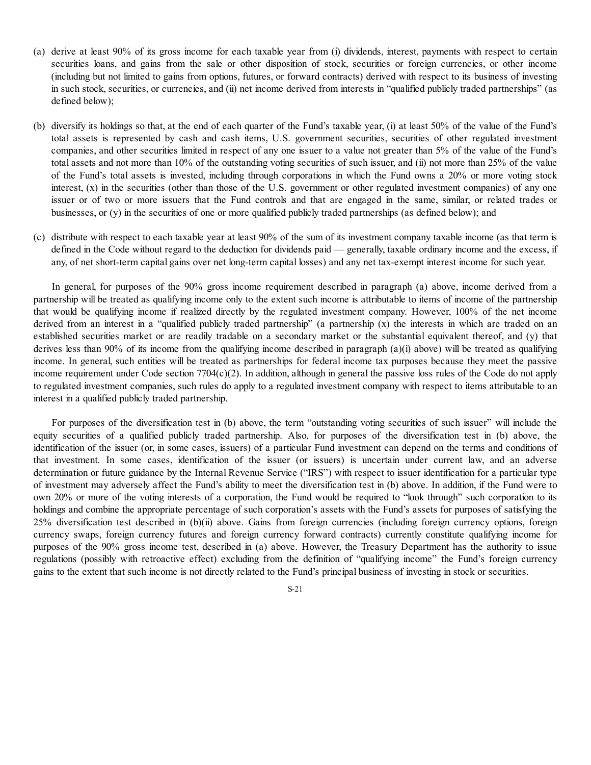- (a) derive at least 90% of its gross income for each taxable year from (i) dividends, interest, payments with respect to certain securities loans, and gains from the sale or other disposition of stock, securities or foreign currencies, or other income (including but not limited to gains from options, futures, or forward contracts) derived with respect to its business of investing in such stock, securities, or currencies, and (ii) net income derived from interests in "qualified publicly traded partnerships" (as defined below);
- (b) diversify its holdings so that, at the end of each quarter of the Fund's taxable year, (i) at least 50% of the value of the Fund's total assets is represented by cash and cash items, U.S. government securities, securities of other regulated investment companies, and other securities limited in respect of any one issuer to a value not greater than 5% of the value of the Fund's total assets and not more than 10% of the outstanding voting securities of such issuer, and (ii) not more than 25% of the value of the Fund's total assets is invested, including through corporations in which the Fund owns a 20% or more voting stock interest, (x) in the securities (other than those of the U.S. government or other regulated investment companies) of any one issuer or of two or more issuers that the Fund controls and that are engaged in the same, similar, or related trades or businesses, or (y) in the securities of one or more qualified publicly traded partnerships (as defined below); and
- (c) distribute with respect to each taxable year at least 90% of the sum of its investment company taxable income (as that term is defined in the Code without regard to the deduction for dividends paid — generally, taxable ordinary income and the excess, if any, of net short-term capital gains over net long-term capital losses) and any net tax-exempt interest income for such year.

In general, for purposes of the 90% gross income requirement described in paragraph (a) above, income derived from a partnership will be treated as qualifying income only to the extent such income is attributable to items of income of the partnership that would be qualifying income if realized directly by the regulated investment company. However, 100% of the net income derived from an interest in a "qualified publicly traded partnership" (a partnership  $(x)$ ) the interests in which are traded on an established securities market or are readily tradable on a secondary market or the substantial equivalent thereof, and (y) that derives less than 90% of its income from the qualifying income described in paragraph (a)(i) above) will be treated as qualifying income. In general, such entities will be treated as partnerships for federal income tax purposes because they meet the passive income requirement under Code section 7704(c)(2). In addition, although in general the passive loss rules of the Code do not apply to regulated investment companies, such rules do apply to a regulated investment company with respect to items attributable to an interest in a qualified publicly traded partnership.

For purposes of the diversification test in (b) above, the term "outstanding voting securities of such issuer" will include the equity securities of a qualified publicly traded partnership. Also, for purposes of the diversification test in (b) above, the identification of the issuer (or, in some cases, issuers) of a particular Fund investment can depend on the terms and conditions of that investment. In some cases, identification of the issuer (or issuers) is uncertain under current law, and an adverse determination or future guidance by the Internal Revenue Service ("IRS") with respect to issuer identification for a particular type of investment may adversely affect the Fund's ability to meet the diversification test in (b) above. In addition, if the Fund were to own 20% or more of the voting interests of a corporation, the Fund would be required to "look through" such corporation to its holdings and combine the appropriate percentage of such corporation's assets with the Fund's assets for purposes of satisfying the 25% diversification test described in (b)(ii) above. Gains from foreign currencies (including foreign currency options, foreign currency swaps, foreign currency futures and foreign currency forward contracts) currently constitute qualifying income for purposes of the 90% gross income test, described in (a) above. However, the Treasury Department has the authority to issue regulations (possibly with retroactive effect) excluding from the definition of "qualifying income" the Fund's foreign currency gains to the extent that such income is not directly related to the Fund's principal business of investing in stock or securities.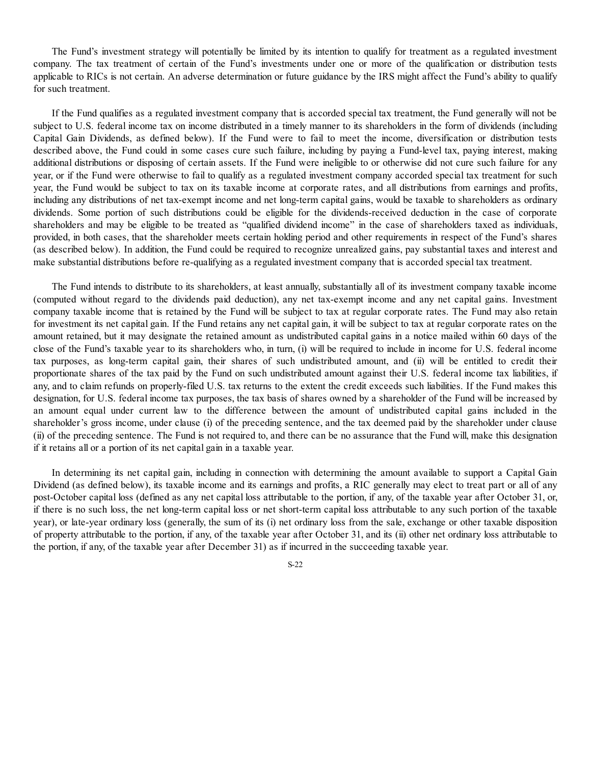The Fund's investment strategy will potentially be limited by its intention to qualify for treatment as a regulated investment company. The tax treatment of certain of the Fund's investments under one or more of the qualification or distribution tests applicable to RICs is not certain. An adverse determination or future guidance by the IRS might affect the Fund's ability to qualify for such treatment.

If the Fund qualifies as a regulated investment company that is accorded special tax treatment, the Fund generally will not be subject to U.S. federal income tax on income distributed in a timely manner to its shareholders in the form of dividends (including Capital Gain Dividends, as defined below). If the Fund were to fail to meet the income, diversification or distribution tests described above, the Fund could in some cases cure such failure, including by paying a Fund-level tax, paying interest, making additional distributions or disposing of certain assets. If the Fund were ineligible to or otherwise did not cure such failure for any year, or if the Fund were otherwise to fail to qualify as a regulated investment company accorded special tax treatment for such year, the Fund would be subject to tax on its taxable income at corporate rates, and all distributions from earnings and profits, including any distributions of net tax-exempt income and net long-term capital gains, would be taxable to shareholders as ordinary dividends. Some portion of such distributions could be eligible for the dividends-received deduction in the case of corporate shareholders and may be eligible to be treated as "qualified dividend income" in the case of shareholders taxed as individuals, provided, in both cases, that the shareholder meets certain holding period and other requirements in respect of the Fund's shares (as described below). In addition, the Fund could be required to recognize unrealized gains, pay substantial taxes and interest and make substantial distributions before re-qualifying as a regulated investment company that is accorded special tax treatment.

The Fund intends to distribute to its shareholders, at least annually, substantially all of its investment company taxable income (computed without regard to the dividends paid deduction), any net tax-exempt income and any net capital gains. Investment company taxable income that is retained by the Fund will be subject to tax at regular corporate rates. The Fund may also retain for investment its net capital gain. If the Fund retains any net capital gain, it will be subject to tax at regular corporate rates on the amount retained, but it may designate the retained amount as undistributed capital gains in a notice mailed within 60 days of the close of the Fund's taxable year to its shareholders who, in turn, (i) will be required to include in income for U.S. federal income tax purposes, as long-term capital gain, their shares of such undistributed amount, and (ii) will be entitled to credit their proportionate shares of the tax paid by the Fund on such undistributed amount against their U.S. federal income tax liabilities, if any, and to claim refunds on properly-filed U.S. tax returns to the extent the credit exceeds such liabilities. If the Fund makes this designation, for U.S. federal income tax purposes, the tax basis of shares owned by a shareholder of the Fund will be increased by an amount equal under current law to the difference between the amount of undistributed capital gains included in the shareholder's gross income, under clause (i) of the preceding sentence, and the tax deemed paid by the shareholder under clause (ii) of the preceding sentence. The Fund is not required to, and there can be no assurance that the Fund will, make this designation if it retains all or a portion of its net capital gain in a taxable year.

In determining its net capital gain, including in connection with determining the amount available to support a Capital Gain Dividend (as defined below), its taxable income and its earnings and profits, a RIC generally may elect to treat part or all of any post-October capital loss (defined as any net capital loss attributable to the portion, if any, of the taxable year after October 31, or, if there is no such loss, the net long-term capital loss or net short-term capital loss attributable to any such portion of the taxable year), or late-year ordinary loss (generally, the sum of its (i) net ordinary loss from the sale, exchange or other taxable disposition of property attributable to the portion, if any, of the taxable year after October 31, and its (ii) other net ordinary loss attributable to the portion, if any, of the taxable year after December 31) as if incurred in the succeeding taxable year.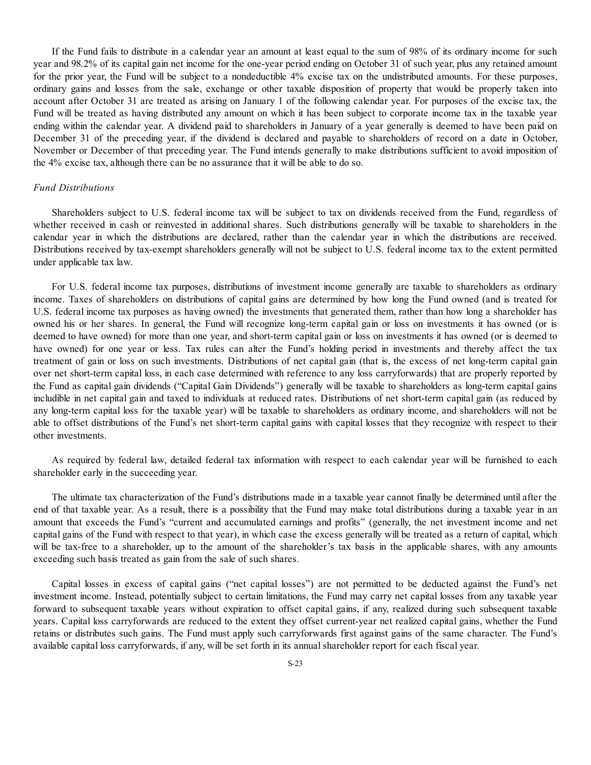If the Fund fails to distribute in a calendar year an amount at least equal to the sum of 98% of its ordinary income for such year and 98.2% of its capital gain net income for the one-year period ending on October 31 of such year, plus any retained amount for the prior year, the Fund will be subject to a nondeductible 4% excise tax on the undistributed amounts. For these purposes, ordinary gains and losses from the sale, exchange or other taxable disposition of property that would be properly taken into account after October 31 are treated as arising on January 1 of the following calendar year. For purposes of the excise tax, the Fund will be treated as having distributed any amount on which it has been subject to corporate income tax in the taxable year ending within the calendar year. A dividend paid to shareholders in January of a year generally is deemed to have been paid on December 31 of the preceding year, if the dividend is declared and payable to shareholders of record on a date in October, November or December of that preceding year. The Fund intends generally to make distributions sufficient to avoid imposition of the 4% excise tax, although there can be no assurance that it will be able to do so.

## *Fund Distributions*

Shareholders subject to U.S. federal income tax will be subject to tax on dividends received from the Fund, regardless of whether received in cash or reinvested in additional shares. Such distributions generally will be taxable to shareholders in the calendar year in which the distributions are declared, rather than the calendar year in which the distributions are received. Distributions received by tax-exempt shareholders generally will not be subject to U.S. federal income tax to the extent permitted under applicable tax law.

For U.S. federal income tax purposes, distributions of investment income generally are taxable to shareholders as ordinary income. Taxes of shareholders on distributions of capital gains are determined by how long the Fund owned (and is treated for U.S. federal income tax purposes as having owned) the investments that generated them, rather than how long a shareholder has owned his or her shares. In general, the Fund will recognize long-term capital gain or loss on investments it has owned (or is deemed to have owned) for more than one year, and short-term capital gain or loss on investments it has owned (or is deemed to have owned) for one year or less. Tax rules can alter the Fund's holding period in investments and thereby affect the tax treatment of gain or loss on such investments. Distributions of net capital gain (that is, the excess of net long-term capital gain over net short-term capital loss, in each case determined with reference to any loss carryforwards) that are properly reported by the Fund as capital gain dividends ("Capital Gain Dividends") generally will be taxable to shareholders as long-term capital gains includible in net capital gain and taxed to individuals at reduced rates. Distributions of net short-term capital gain (as reduced by any long-term capital loss for the taxable year) will be taxable to shareholders as ordinary income, and shareholders will not be able to offset distributions of the Fund's net short-term capital gains with capital losses that they recognize with respect to their other investments.

As required by federal law, detailed federal tax information with respect to each calendar year will be furnished to each shareholder early in the succeeding year.

The ultimate tax characterization of the Fund's distributions made in a taxable year cannot finally be determined until after the end of that taxable year. As a result, there is a possibility that the Fund may make total distributions during a taxable year in an amount that exceeds the Fund's "current and accumulated earnings and profits" (generally, the net investment income and net capital gains of the Fund with respect to that year), in which case the excess generally will be treated as a return of capital, which will be tax-free to a shareholder, up to the amount of the shareholder's tax basis in the applicable shares, with any amounts exceeding such basis treated as gain from the sale of such shares.

Capital losses in excess of capital gains ("net capital losses") are not permitted to be deducted against the Fund's net investment income. Instead, potentially subject to certain limitations, the Fund may carry net capital losses from any taxable year forward to subsequent taxable years without expiration to offset capital gains, if any, realized during such subsequent taxable years. Capital loss carryforwards are reduced to the extent they offset current-year net realized capital gains, whether the Fund retains or distributes such gains. The Fund must apply such carryforwards first against gains of the same character. The Fund's available capital loss carryforwards, if any, will be set forth in its annual shareholder report for each fiscal year.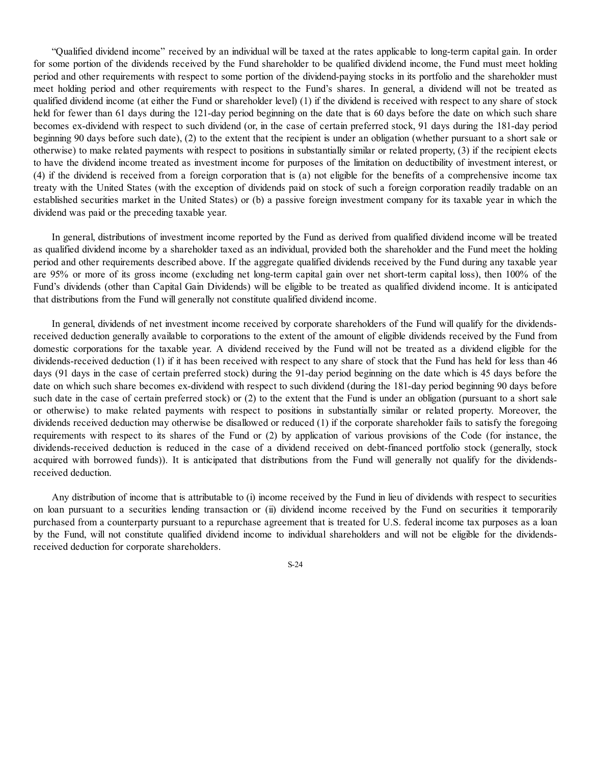"Qualified dividend income" received by an individual will be taxed at the rates applicable to long-term capital gain. In order for some portion of the dividends received by the Fund shareholder to be qualified dividend income, the Fund must meet holding period and other requirements with respect to some portion of the dividend-paying stocks in its portfolio and the shareholder must meet holding period and other requirements with respect to the Fund's shares. In general, a dividend will not be treated as qualified dividend income (at either the Fund or shareholder level) (1) if the dividend is received with respect to any share of stock held for fewer than 61 days during the 121-day period beginning on the date that is 60 days before the date on which such share becomes ex-dividend with respect to such dividend (or, in the case of certain preferred stock, 91 days during the 181-day period beginning 90 days before such date), (2) to the extent that the recipient is under an obligation (whether pursuant to a short sale or otherwise) to make related payments with respect to positions in substantially similar or related property, (3) if the recipient elects to have the dividend income treated as investment income for purposes of the limitation on deductibility of investment interest, or (4) if the dividend is received from a foreign corporation that is (a) not eligible for the benefits of a comprehensive income tax treaty with the United States (with the exception of dividends paid on stock of such a foreign corporation readily tradable on an established securities market in the United States) or (b) a passive foreign investment company for its taxable year in which the dividend was paid or the preceding taxable year.

In general, distributions of investment income reported by the Fund as derived from qualified dividend income will be treated as qualified dividend income by a shareholder taxed as an individual, provided both the shareholder and the Fund meet the holding period and other requirements described above. If the aggregate qualified dividends received by the Fund during any taxable year are 95% or more of its gross income (excluding net long-term capital gain over net short-term capital loss), then 100% of the Fund's dividends (other than Capital Gain Dividends) will be eligible to be treated as qualified dividend income. It is anticipated that distributions from the Fund will generally not constitute qualified dividend income.

In general, dividends of net investment income received by corporate shareholders of the Fund will qualify for the dividendsreceived deduction generally available to corporations to the extent of the amount of eligible dividends received by the Fund from domestic corporations for the taxable year. A dividend received by the Fund will not be treated as a dividend eligible for the dividends-received deduction (1) if it has been received with respect to any share of stock that the Fund has held for less than 46 days (91 days in the case of certain preferred stock) during the 91-day period beginning on the date which is 45 days before the date on which such share becomes ex-dividend with respect to such dividend (during the 181-day period beginning 90 days before such date in the case of certain preferred stock) or (2) to the extent that the Fund is under an obligation (pursuant to a short sale or otherwise) to make related payments with respect to positions in substantially similar or related property. Moreover, the dividends received deduction may otherwise be disallowed or reduced (1) if the corporate shareholder fails to satisfy the foregoing requirements with respect to its shares of the Fund or (2) by application of various provisions of the Code (for instance, the dividends-received deduction is reduced in the case of a dividend received on debt-financed portfolio stock (generally, stock acquired with borrowed funds)). It is anticipated that distributions from the Fund will generally not qualify for the dividendsreceived deduction.

Any distribution of income that is attributable to (i) income received by the Fund in lieu of dividends with respect to securities on loan pursuant to a securities lending transaction or (ii) dividend income received by the Fund on securities it temporarily purchased from a counterparty pursuant to a repurchase agreement that is treated for U.S. federal income tax purposes as a loan by the Fund, will not constitute qualified dividend income to individual shareholders and will not be eligible for the dividendsreceived deduction for corporate shareholders.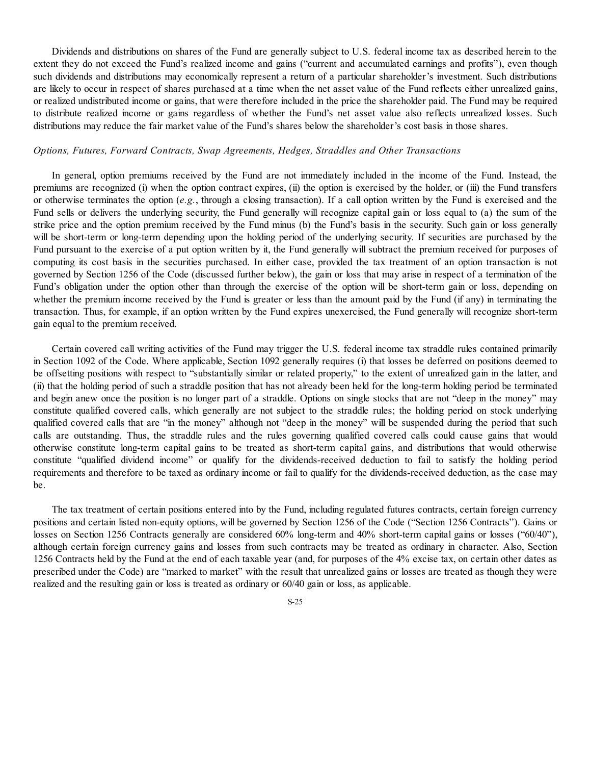Dividends and distributions on shares of the Fund are generally subject to U.S. federal income tax as described herein to the extent they do not exceed the Fund's realized income and gains ("current and accumulated earnings and profits"), even though such dividends and distributions may economically represent a return of a particular shareholder's investment. Such distributions are likely to occur in respect of shares purchased at a time when the net asset value of the Fund reflects either unrealized gains, or realized undistributed income or gains, that were therefore included in the price the shareholder paid. The Fund may be required to distribute realized income or gains regardless of whether the Fund's net asset value also reflects unrealized losses. Such distributions may reduce the fair market value of the Fund's shares below the shareholder's cost basis in those shares.

#### *Options, Futures, Forward Contracts, Swap Agreements, Hedges, Straddles and Other Transactions*

In general, option premiums received by the Fund are not immediately included in the income of the Fund. Instead, the premiums are recognized (i) when the option contract expires, (ii) the option is exercised by the holder, or (iii) the Fund transfers or otherwise terminates the option (*e.g.*, through a closing transaction). If a call option written by the Fund is exercised and the Fund sells or delivers the underlying security, the Fund generally will recognize capital gain or loss equal to (a) the sum of the strike price and the option premium received by the Fund minus (b) the Fund's basis in the security. Such gain or loss generally will be short-term or long-term depending upon the holding period of the underlying security. If securities are purchased by the Fund pursuant to the exercise of a put option written by it, the Fund generally will subtract the premium received for purposes of computing its cost basis in the securities purchased. In either case, provided the tax treatment of an option transaction is not governed by Section 1256 of the Code (discussed further below), the gain or loss that may arise in respect of a termination of the Fund's obligation under the option other than through the exercise of the option will be short-term gain or loss, depending on whether the premium income received by the Fund is greater or less than the amount paid by the Fund (if any) in terminating the transaction. Thus, for example, if an option written by the Fund expires unexercised, the Fund generally will recognize short-term gain equal to the premium received.

Certain covered call writing activities of the Fund may trigger the U.S. federal income tax straddle rules contained primarily in Section 1092 of the Code. Where applicable, Section 1092 generally requires (i) that losses be deferred on positions deemed to be offsetting positions with respect to "substantially similar or related property," to the extent of unrealized gain in the latter, and (ii) that the holding period of such a straddle position that has not already been held for the long-term holding period be terminated and begin anew once the position is no longer part of a straddle. Options on single stocks that are not "deep in the money" may constitute qualified covered calls, which generally are not subject to the straddle rules; the holding period on stock underlying qualified covered calls that are "in the money" although not "deep in the money" will be suspended during the period that such calls are outstanding. Thus, the straddle rules and the rules governing qualified covered calls could cause gains that would otherwise constitute long-term capital gains to be treated as short-term capital gains, and distributions that would otherwise constitute "qualified dividend income" or qualify for the dividends-received deduction to fail to satisfy the holding period requirements and therefore to be taxed as ordinary income or fail to qualify for the dividends-received deduction, as the case may be.

The tax treatment of certain positions entered into by the Fund, including regulated futures contracts, certain foreign currency positions and certain listed non-equity options, will be governed by Section 1256 of the Code ("Section 1256 Contracts"). Gains or losses on Section 1256 Contracts generally are considered 60% long-term and 40% short-term capital gains or losses ("60/40"), although certain foreign currency gains and losses from such contracts may be treated as ordinary in character. Also, Section 1256 Contracts held by the Fund at the end of each taxable year (and, for purposes of the 4% excise tax, on certain other dates as prescribed under the Code) are "marked to market" with the result that unrealized gains or losses are treated as though they were realized and the resulting gain or loss is treated as ordinary or 60/40 gain or loss, as applicable.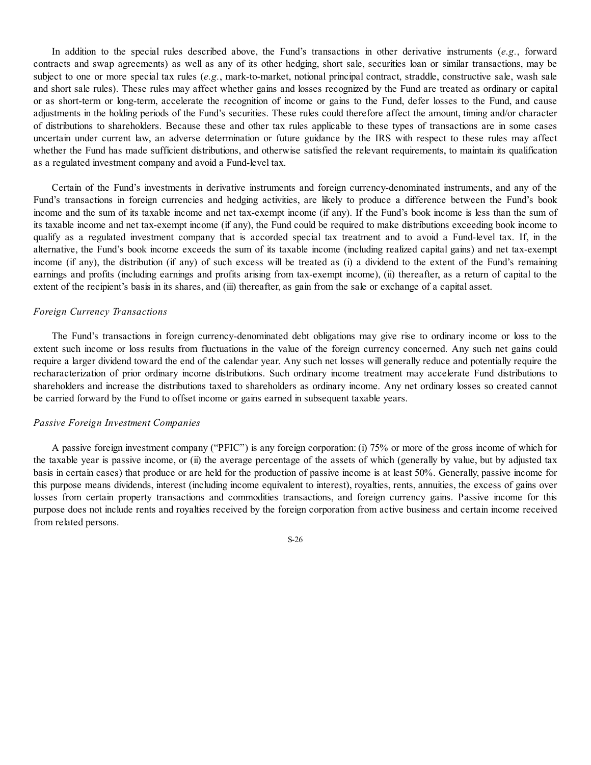In addition to the special rules described above, the Fund's transactions in other derivative instruments (*e.g.*, forward contracts and swap agreements) as well as any of its other hedging, short sale, securities loan or similar transactions, may be subject to one or more special tax rules (*e.g.*, mark-to-market, notional principal contract, straddle, constructive sale, wash sale and short sale rules). These rules may affect whether gains and losses recognized by the Fund are treated as ordinary or capital or as short-term or long-term, accelerate the recognition of income or gains to the Fund, defer losses to the Fund, and cause adjustments in the holding periods of the Fund's securities. These rules could therefore affect the amount, timing and/or character of distributions to shareholders. Because these and other tax rules applicable to these types of transactions are in some cases uncertain under current law, an adverse determination or future guidance by the IRS with respect to these rules may affect whether the Fund has made sufficient distributions, and otherwise satisfied the relevant requirements, to maintain its qualification as a regulated investment company and avoid a Fund-level tax.

Certain of the Fund's investments in derivative instruments and foreign currency-denominated instruments, and any of the Fund's transactions in foreign currencies and hedging activities, are likely to produce a difference between the Fund's book income and the sum of its taxable income and net tax-exempt income (if any). If the Fund's book income is less than the sum of its taxable income and net tax-exempt income (if any), the Fund could be required to make distributions exceeding book income to qualify as a regulated investment company that is accorded special tax treatment and to avoid a Fund-level tax. If, in the alternative, the Fund's book income exceeds the sum of its taxable income (including realized capital gains) and net tax-exempt income (if any), the distribution (if any) of such excess will be treated as (i) a dividend to the extent of the Fund's remaining earnings and profits (including earnings and profits arising from tax-exempt income), (ii) thereafter, as a return of capital to the extent of the recipient's basis in its shares, and (iii) thereafter, as gain from the sale or exchange of a capital asset.

#### *Foreign Currency Transactions*

The Fund's transactions in foreign currency-denominated debt obligations may give rise to ordinary income or loss to the extent such income or loss results from fluctuations in the value of the foreign currency concerned. Any such net gains could require a larger dividend toward the end of the calendar year. Any such net losses will generally reduce and potentially require the recharacterization of prior ordinary income distributions. Such ordinary income treatment may accelerate Fund distributions to shareholders and increase the distributions taxed to shareholders as ordinary income. Any net ordinary losses so created cannot be carried forward by the Fund to offset income or gains earned in subsequent taxable years.

#### *Passive Foreign Investment Companies*

A passive foreign investment company ("PFIC") is any foreign corporation: (i) 75% or more of the gross income of which for the taxable year is passive income, or (ii) the average percentage of the assets of which (generally by value, but by adjusted tax basis in certain cases) that produce or are held for the production of passive income is at least 50%. Generally, passive income for this purpose means dividends, interest (including income equivalent to interest), royalties, rents, annuities, the excess of gains over losses from certain property transactions and commodities transactions, and foreign currency gains. Passive income for this purpose does not include rents and royalties received by the foreign corporation from active business and certain income received from related persons.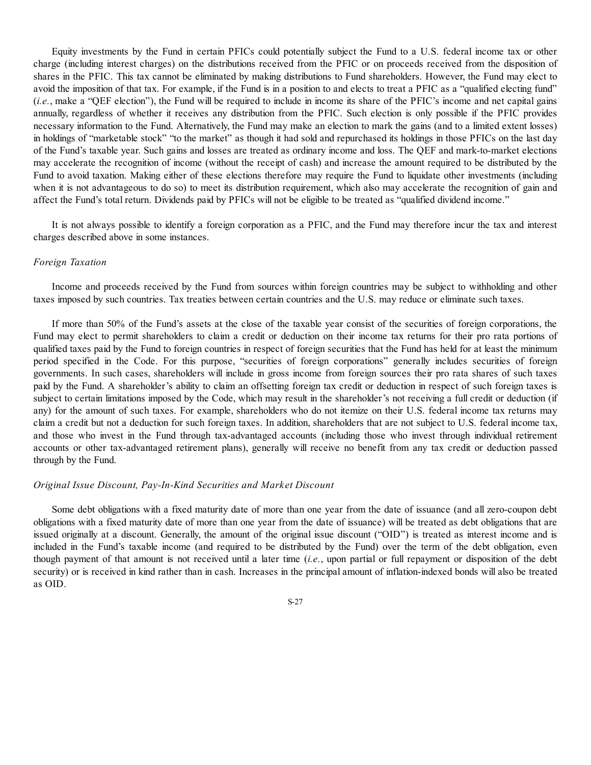Equity investments by the Fund in certain PFICs could potentially subject the Fund to a U.S. federal income tax or other charge (including interest charges) on the distributions received from the PFIC or on proceeds received from the disposition of shares in the PFIC. This tax cannot be eliminated by making distributions to Fund shareholders. However, the Fund may elect to avoid the imposition of that tax. For example, if the Fund is in a position to and elects to treat a PFIC as a "qualified electing fund" (*i.e.*, make a "QEF election"), the Fund will be required to include in income its share of the PFIC's income and net capital gains annually, regardless of whether it receives any distribution from the PFIC. Such election is only possible if the PFIC provides necessary information to the Fund. Alternatively, the Fund may make an election to mark the gains (and to a limited extent losses) in holdings of "marketable stock" "to the market" as though it had sold and repurchased its holdings in those PFICs on the last day of the Fund's taxable year. Such gains and losses are treated as ordinary income and loss. The QEF and mark-to-market elections may accelerate the recognition of income (without the receipt of cash) and increase the amount required to be distributed by the Fund to avoid taxation. Making either of these elections therefore may require the Fund to liquidate other investments (including when it is not advantageous to do so) to meet its distribution requirement, which also may accelerate the recognition of gain and affect the Fund's total return. Dividends paid by PFICs will not be eligible to be treated as "qualified dividend income."

It is not always possible to identify a foreign corporation as a PFIC, and the Fund may therefore incur the tax and interest charges described above in some instances.

#### *Foreign Taxation*

Income and proceeds received by the Fund from sources within foreign countries may be subject to withholding and other taxes imposed by such countries. Tax treaties between certain countries and the U.S. may reduce or eliminate such taxes.

If more than 50% of the Fund's assets at the close of the taxable year consist of the securities of foreign corporations, the Fund may elect to permit shareholders to claim a credit or deduction on their income tax returns for their pro rata portions of qualified taxes paid by the Fund to foreign countries in respect of foreign securities that the Fund has held for at least the minimum period specified in the Code. For this purpose, "securities of foreign corporations" generally includes securities of foreign governments. In such cases, shareholders will include in gross income from foreign sources their pro rata shares of such taxes paid by the Fund. A shareholder's ability to claim an offsetting foreign tax credit or deduction in respect of such foreign taxes is subject to certain limitations imposed by the Code, which may result in the shareholder's not receiving a full credit or deduction (if any) for the amount of such taxes. For example, shareholders who do not itemize on their U.S. federal income tax returns may claim a credit but not a deduction for such foreign taxes. In addition, shareholders that are not subject to U.S. federal income tax, and those who invest in the Fund through tax-advantaged accounts (including those who invest through individual retirement accounts or other tax-advantaged retirement plans), generally will receive no benefit from any tax credit or deduction passed through by the Fund.

#### *Original Issue Discount, Pay-In-Kind Securities and Market Discount*

Some debt obligations with a fixed maturity date of more than one year from the date of issuance (and all zero-coupon debt obligations with a fixed maturity date of more than one year from the date of issuance) will be treated as debt obligations that are issued originally at a discount. Generally, the amount of the original issue discount ("OID") is treated as interest income and is included in the Fund's taxable income (and required to be distributed by the Fund) over the term of the debt obligation, even though payment of that amount is not received until a later time (*i.e.*, upon partial or full repayment or disposition of the debt security) or is received in kind rather than in cash. Increases in the principal amount of inflation-indexed bonds will also be treated as OID.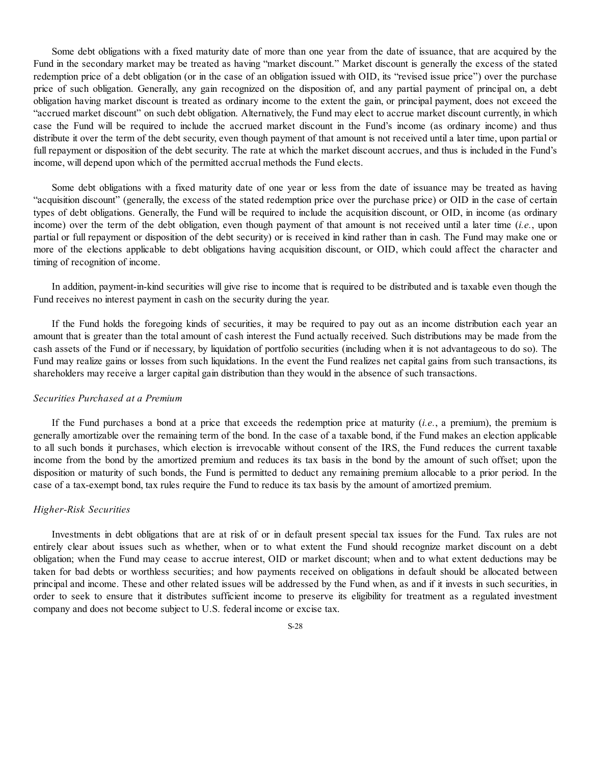Some debt obligations with a fixed maturity date of more than one year from the date of issuance, that are acquired by the Fund in the secondary market may be treated as having "market discount." Market discount is generally the excess of the stated redemption price of a debt obligation (or in the case of an obligation issued with OID, its "revised issue price") over the purchase price of such obligation. Generally, any gain recognized on the disposition of, and any partial payment of principal on, a debt obligation having market discount is treated as ordinary income to the extent the gain, or principal payment, does not exceed the "accrued market discount" on such debt obligation. Alternatively, the Fund may elect to accrue market discount currently, in which case the Fund will be required to include the accrued market discount in the Fund's income (as ordinary income) and thus distribute it over the term of the debt security, even though payment of that amount is not received until a later time, upon partial or full repayment or disposition of the debt security. The rate at which the market discount accrues, and thus is included in the Fund's income, will depend upon which of the permitted accrual methods the Fund elects.

Some debt obligations with a fixed maturity date of one year or less from the date of issuance may be treated as having "acquisition discount" (generally, the excess of the stated redemption price over the purchase price) or OID in the case of certain types of debt obligations. Generally, the Fund will be required to include the acquisition discount, or OID, in income (as ordinary income) over the term of the debt obligation, even though payment of that amount is not received until a later time (*i.e.*, upon partial or full repayment or disposition of the debt security) or is received in kind rather than in cash. The Fund may make one or more of the elections applicable to debt obligations having acquisition discount, or OID, which could affect the character and timing of recognition of income.

In addition, payment-in-kind securities will give rise to income that is required to be distributed and is taxable even though the Fund receives no interest payment in cash on the security during the year.

If the Fund holds the foregoing kinds of securities, it may be required to pay out as an income distribution each year an amount that is greater than the total amount of cash interest the Fund actually received. Such distributions may be made from the cash assets of the Fund or if necessary, by liquidation of portfolio securities (including when it is not advantageous to do so). The Fund may realize gains or losses from such liquidations. In the event the Fund realizes net capital gains from such transactions, its shareholders may receive a larger capital gain distribution than they would in the absence of such transactions.

# *Securities Purchased at a Premium*

If the Fund purchases a bond at a price that exceeds the redemption price at maturity (*i.e.*, a premium), the premium is generally amortizable over the remaining term of the bond. In the case of a taxable bond, if the Fund makes an election applicable to all such bonds it purchases, which election is irrevocable without consent of the IRS, the Fund reduces the current taxable income from the bond by the amortized premium and reduces its tax basis in the bond by the amount of such offset; upon the disposition or maturity of such bonds, the Fund is permitted to deduct any remaining premium allocable to a prior period. In the case of a tax-exempt bond, tax rules require the Fund to reduce its tax basis by the amount of amortized premium.

#### *Higher-Risk Securities*

Investments in debt obligations that are at risk of or in default present special tax issues for the Fund. Tax rules are not entirely clear about issues such as whether, when or to what extent the Fund should recognize market discount on a debt obligation; when the Fund may cease to accrue interest, OID or market discount; when and to what extent deductions may be taken for bad debts or worthless securities; and how payments received on obligations in default should be allocated between principal and income. These and other related issues will be addressed by the Fund when, as and if it invests in such securities, in order to seek to ensure that it distributes sufficient income to preserve its eligibility for treatment as a regulated investment company and does not become subject to U.S. federal income or excise tax.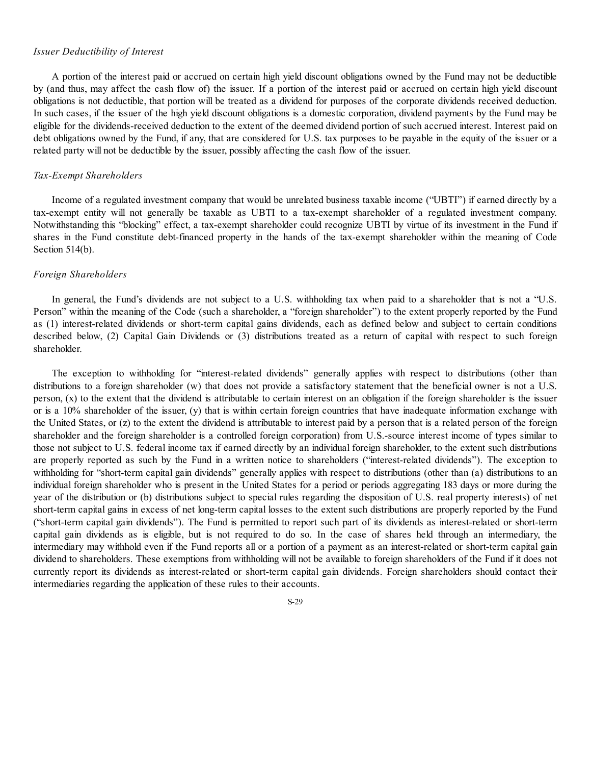#### *Issuer Deductibility of Interest*

A portion of the interest paid or accrued on certain high yield discount obligations owned by the Fund may not be deductible by (and thus, may affect the cash flow of) the issuer. If a portion of the interest paid or accrued on certain high yield discount obligations is not deductible, that portion will be treated as a dividend for purposes of the corporate dividends received deduction. In such cases, if the issuer of the high yield discount obligations is a domestic corporation, dividend payments by the Fund may be eligible for the dividends-received deduction to the extent of the deemed dividend portion of such accrued interest. Interest paid on debt obligations owned by the Fund, if any, that are considered for U.S. tax purposes to be payable in the equity of the issuer or a related party will not be deductible by the issuer, possibly affecting the cash flow of the issuer.

#### *Tax-Exempt Shareholders*

Income of a regulated investment company that would be unrelated business taxable income ("UBTI") if earned directly by a tax-exempt entity will not generally be taxable as UBTI to a tax-exempt shareholder of a regulated investment company. Notwithstanding this "blocking" effect, a tax-exempt shareholder could recognize UBTI by virtue of its investment in the Fund if shares in the Fund constitute debt-financed property in the hands of the tax-exempt shareholder within the meaning of Code Section 514(b).

#### *Foreign Shareholders*

In general, the Fund's dividends are not subject to a U.S. withholding tax when paid to a shareholder that is not a "U.S. Person" within the meaning of the Code (such a shareholder, a "foreign shareholder") to the extent properly reported by the Fund as (1) interest-related dividends or short-term capital gains dividends, each as defined below and subject to certain conditions described below, (2) Capital Gain Dividends or (3) distributions treated as a return of capital with respect to such foreign shareholder.

The exception to withholding for "interest-related dividends" generally applies with respect to distributions (other than distributions to a foreign shareholder (w) that does not provide a satisfactory statement that the beneficial owner is not a U.S. person, (x) to the extent that the dividend is attributable to certain interest on an obligation if the foreign shareholder is the issuer or is a  $10\%$  shareholder of the issuer, (y) that is within certain foreign countries that have inadequate information exchange with the United States, or (z) to the extent the dividend is attributable to interest paid by a person that is a related person of the foreign shareholder and the foreign shareholder is a controlled foreign corporation) from U.S.-source interest income of types similar to those not subject to U.S. federal income tax if earned directly by an individual foreign shareholder, to the extent such distributions are properly reported as such by the Fund in a written notice to shareholders ("interest-related dividends"). The exception to withholding for "short-term capital gain dividends" generally applies with respect to distributions (other than (a) distributions to an individual foreign shareholder who is present in the United States for a period or periods aggregating 183 days or more during the year of the distribution or (b) distributions subject to special rules regarding the disposition of U.S. real property interests) of net short-term capital gains in excess of net long-term capital losses to the extent such distributions are properly reported by the Fund ("short-term capital gain dividends"). The Fund is permitted to report such part of its dividends as interest-related or short-term capital gain dividends as is eligible, but is not required to do so. In the case of shares held through an intermediary, the intermediary may withhold even if the Fund reports all or a portion of a payment as an interest-related or short-term capital gain dividend to shareholders. These exemptions from withholding will not be available to foreign shareholders of the Fund if it does not currently report its dividends as interest-related or short-term capital gain dividends. Foreign shareholders should contact their intermediaries regarding the application of these rules to their accounts.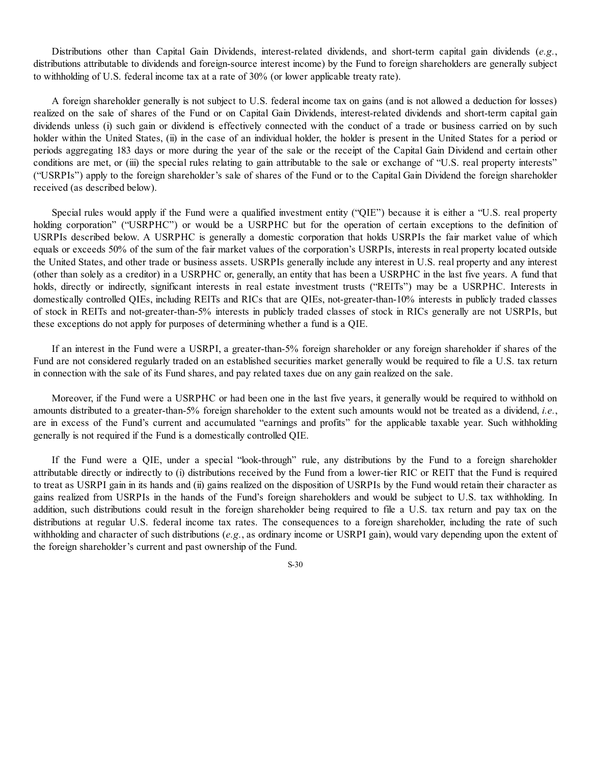Distributions other than Capital Gain Dividends, interest-related dividends, and short-term capital gain dividends (*e.g.*, distributions attributable to dividends and foreign-source interest income) by the Fund to foreign shareholders are generally subject to withholding of U.S. federal income tax at a rate of 30% (or lower applicable treaty rate).

A foreign shareholder generally is not subject to U.S. federal income tax on gains (and is not allowed a deduction for losses) realized on the sale of shares of the Fund or on Capital Gain Dividends, interest-related dividends and short-term capital gain dividends unless (i) such gain or dividend is effectively connected with the conduct of a trade or business carried on by such holder within the United States, (ii) in the case of an individual holder, the holder is present in the United States for a period or periods aggregating 183 days or more during the year of the sale or the receipt of the Capital Gain Dividend and certain other conditions are met, or (iii) the special rules relating to gain attributable to the sale or exchange of "U.S. real property interests" ("USRPIs") apply to the foreign shareholder's sale of shares of the Fund or to the Capital Gain Dividend the foreign shareholder received (as described below).

Special rules would apply if the Fund were a qualified investment entity ("QIE") because it is either a "U.S. real property holding corporation" ("USRPHC") or would be a USRPHC but for the operation of certain exceptions to the definition of USRPIs described below. A USRPHC is generally a domestic corporation that holds USRPIs the fair market value of which equals or exceeds 50% of the sum of the fair market values of the corporation's USRPIs, interests in real property located outside the United States, and other trade or business assets. USRPIs generally include any interest in U.S. real property and any interest (other than solely as a creditor) in a USRPHC or, generally, an entity that has been a USRPHC in the last five years. A fund that holds, directly or indirectly, significant interests in real estate investment trusts ("REITs") may be a USRPHC. Interests in domestically controlled QIEs, including REITs and RICs that are QIEs, not-greater-than-10% interests in publicly traded classes of stock in REITs and not-greater-than-5% interests in publicly traded classes of stock in RICs generally are not USRPIs, but these exceptions do not apply for purposes of determining whether a fund is a QIE.

If an interest in the Fund were a USRPI, a greater-than-5% foreign shareholder or any foreign shareholder if shares of the Fund are not considered regularly traded on an established securities market generally would be required to file a U.S. tax return in connection with the sale of its Fund shares, and pay related taxes due on any gain realized on the sale.

Moreover, if the Fund were a USRPHC or had been one in the last five years, it generally would be required to withhold on amounts distributed to a greater-than-5% foreign shareholder to the extent such amounts would not be treated as a dividend, *i.e.*, are in excess of the Fund's current and accumulated "earnings and profits" for the applicable taxable year. Such withholding generally is not required if the Fund is a domestically controlled QIE.

If the Fund were a QIE, under a special "look-through" rule, any distributions by the Fund to a foreign shareholder attributable directly or indirectly to (i) distributions received by the Fund from a lower-tier RIC or REIT that the Fund is required to treat as USRPI gain in its hands and (ii) gains realized on the disposition of USRPIs by the Fund would retain their character as gains realized from USRPIs in the hands of the Fund's foreign shareholders and would be subject to U.S. tax withholding. In addition, such distributions could result in the foreign shareholder being required to file a U.S. tax return and pay tax on the distributions at regular U.S. federal income tax rates. The consequences to a foreign shareholder, including the rate of such withholding and character of such distributions (*e.g.*, as ordinary income or USRPI gain), would vary depending upon the extent of the foreign shareholder's current and past ownership of the Fund.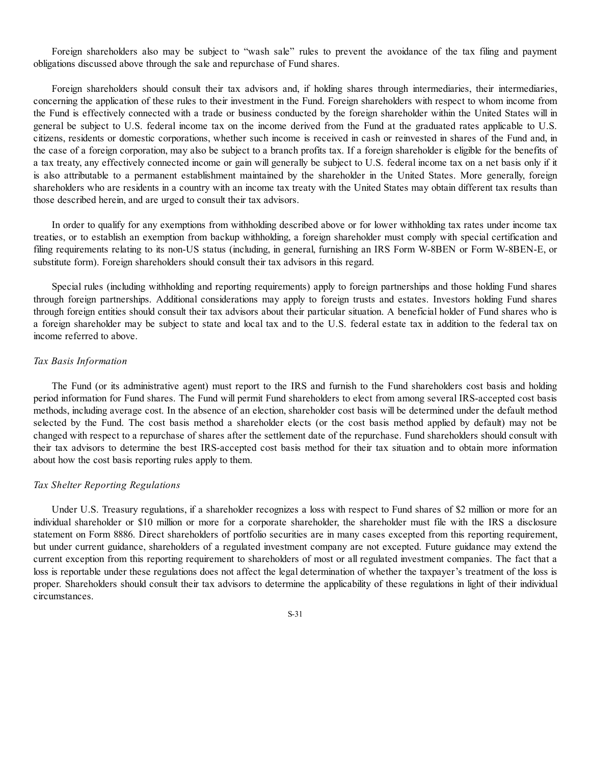Foreign shareholders also may be subject to "wash sale" rules to prevent the avoidance of the tax filing and payment obligations discussed above through the sale and repurchase of Fund shares.

Foreign shareholders should consult their tax advisors and, if holding shares through intermediaries, their intermediaries, concerning the application of these rules to their investment in the Fund. Foreign shareholders with respect to whom income from the Fund is effectively connected with a trade or business conducted by the foreign shareholder within the United States will in general be subject to U.S. federal income tax on the income derived from the Fund at the graduated rates applicable to U.S. citizens, residents or domestic corporations, whether such income is received in cash or reinvested in shares of the Fund and, in the case of a foreign corporation, may also be subject to a branch profits tax. If a foreign shareholder is eligible for the benefits of a tax treaty, any effectively connected income or gain will generally be subject to U.S. federal income tax on a net basis only if it is also attributable to a permanent establishment maintained by the shareholder in the United States. More generally, foreign shareholders who are residents in a country with an income tax treaty with the United States may obtain different tax results than those described herein, and are urged to consult their tax advisors.

In order to qualify for any exemptions from withholding described above or for lower withholding tax rates under income tax treaties, or to establish an exemption from backup withholding, a foreign shareholder must comply with special certification and filing requirements relating to its non-US status (including, in general, furnishing an IRS Form W-8BEN or Form W-8BEN-E, or substitute form). Foreign shareholders should consult their tax advisors in this regard.

Special rules (including withholding and reporting requirements) apply to foreign partnerships and those holding Fund shares through foreign partnerships. Additional considerations may apply to foreign trusts and estates. Investors holding Fund shares through foreign entities should consult their tax advisors about their particular situation. A beneficial holder of Fund shares who is a foreign shareholder may be subject to state and local tax and to the U.S. federal estate tax in addition to the federal tax on income referred to above.

## *Tax Basis Information*

The Fund (or its administrative agent) must report to the IRS and furnish to the Fund shareholders cost basis and holding period information for Fund shares. The Fund will permit Fund shareholders to elect from among several IRS-accepted cost basis methods, including average cost. In the absence of an election, shareholder cost basis will be determined under the default method selected by the Fund. The cost basis method a shareholder elects (or the cost basis method applied by default) may not be changed with respect to a repurchase of shares after the settlement date of the repurchase. Fund shareholders should consult with their tax advisors to determine the best IRS-accepted cost basis method for their tax situation and to obtain more information about how the cost basis reporting rules apply to them.

#### *Tax Shelter Reporting Regulations*

Under U.S. Treasury regulations, if a shareholder recognizes a loss with respect to Fund shares of \$2 million or more for an individual shareholder or \$10 million or more for a corporate shareholder, the shareholder must file with the IRS a disclosure statement on Form 8886. Direct shareholders of portfolio securities are in many cases excepted from this reporting requirement, but under current guidance, shareholders of a regulated investment company are not excepted. Future guidance may extend the current exception from this reporting requirement to shareholders of most or all regulated investment companies. The fact that a loss is reportable under these regulations does not affect the legal determination of whether the taxpayer's treatment of the loss is proper. Shareholders should consult their tax advisors to determine the applicability of these regulations in light of their individual circumstances.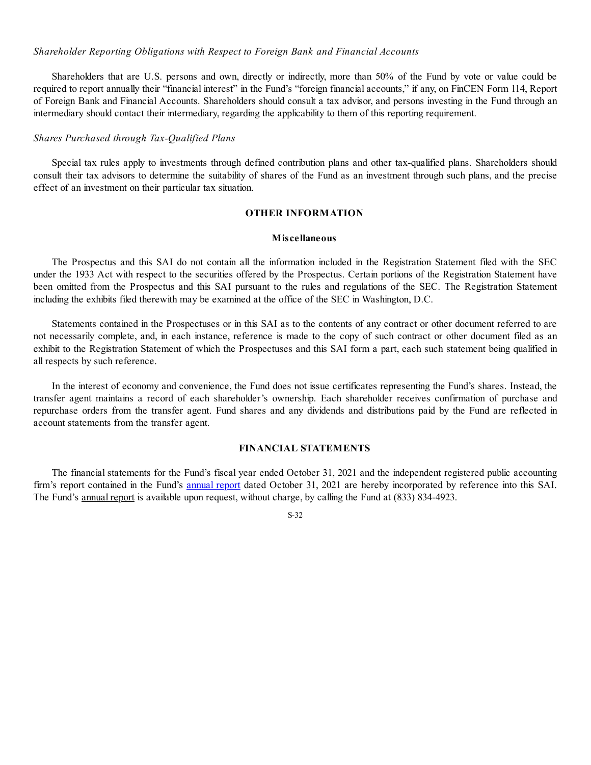#### *Shareholder Reporting Obligations with Respect to Foreign Bank and Financial Accounts*

Shareholders that are U.S. persons and own, directly or indirectly, more than 50% of the Fund by vote or value could be required to report annually their "financial interest" in the Fund's "foreign financial accounts," if any, on FinCEN Form 114, Report of Foreign Bank and Financial Accounts. Shareholders should consult a tax advisor, and persons investing in the Fund through an intermediary should contact their intermediary, regarding the applicability to them of this reporting requirement.

## *Shares Purchased through Tax-Qualified Plans*

Special tax rules apply to investments through defined contribution plans and other tax-qualified plans. Shareholders should consult their tax advisors to determine the suitability of shares of the Fund as an investment through such plans, and the precise effect of an investment on their particular tax situation.

## **OTHER INFORMATION**

#### **Miscellaneous**

The Prospectus and this SAI do not contain all the information included in the Registration Statement filed with the SEC under the 1933 Act with respect to the securities offered by the Prospectus. Certain portions of the Registration Statement have been omitted from the Prospectus and this SAI pursuant to the rules and regulations of the SEC. The Registration Statement including the exhibits filed therewith may be examined at the office of the SEC in Washington, D.C.

Statements contained in the Prospectuses or in this SAI as to the contents of any contract or other document referred to are not necessarily complete, and, in each instance, reference is made to the copy of such contract or other document filed as an exhibit to the Registration Statement of which the Prospectuses and this SAI form a part, each such statement being qualified in all respects by such reference.

In the interest of economy and convenience, the Fund does not issue certificates representing the Fund's shares. Instead, the transfer agent maintains a record of each shareholder's ownership. Each shareholder receives confirmation of purchase and repurchase orders from the transfer agent. Fund shares and any dividends and distributions paid by the Fund are reflected in account statements from the transfer agent.

## **FINANCIAL STATEMENTS**

The financial statements for the Fund's fiscal year ended October 31, 2021 and the independent registered public accounting firm's report contained in the Fund's [annual](https://www.sec.gov/Archives/edgar/data/1748680/000139834421000055/fp0060522_ncsr.htm) report dated October 31, 2021 are hereby incorporated by reference into this SAI. The Fund's annual report is available upon request, without charge, by calling the Fund at (833) 834-4923.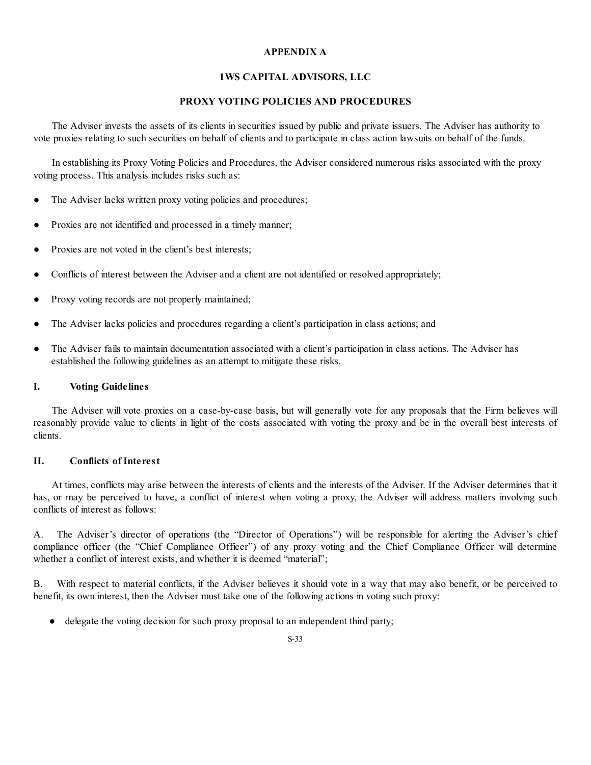# **APPENDIX A**

# **1WS CAPITAL ADVISORS, LLC**

# **PROXY VOTING POLICIES AND PROCEDURES**

The Adviser invests the assets of its clients in securities issued by public and private issuers. The Adviser has authority to vote proxies relating to such securities on behalf of clients and to participate in class action lawsuits on behalf of the funds.

In establishing its Proxy Voting Policies and Procedures, the Adviser considered numerous risks associated with the proxy voting process. This analysis includes risks such as:

- The Adviser lacks written proxy voting policies and procedures;
- Proxies are not identified and processed in a timely manner;
- Proxies are not voted in the client's best interests;
- Conflicts of interest between the Adviser and a client are not identified or resolved appropriately;
- Proxy voting records are not properly maintained;
- The Adviser lacks policies and procedures regarding a client's participation in class actions; and
- The Adviser fails to maintain documentation associated with a client's participation in class actions. The Adviser has established the following guidelines as an attempt to mitigate these risks.

## **I. Voting Guidelines**

The Adviser will vote proxies on a case-by-case basis, but will generally vote for any proposals that the Firm believes will reasonably provide value to clients in light of the costs associated with voting the proxy and be in the overall best interests of clients.

## **II. Conflicts of Interest**

At times, conflicts may arise between the interests of clients and the interests of the Adviser. If the Adviser determines that it has, or may be perceived to have, a conflict of interest when voting a proxy, the Adviser will address matters involving such conflicts of interest as follows:

A. The Adviser's director of operations (the "Director of Operations") will be responsible for alerting the Adviser's chief compliance officer (the "Chief Compliance Officer") of any proxy voting and the Chief Compliance Officer will determine whether a conflict of interest exists, and whether it is deemed "material";

B. With respect to material conflicts, if the Adviser believes it should vote in a way that may also benefit, or be perceived to benefit, its own interest, then the Adviser must take one of the following actions in voting such proxy:

● delegate the voting decision for such proxy proposal to an independent third party;